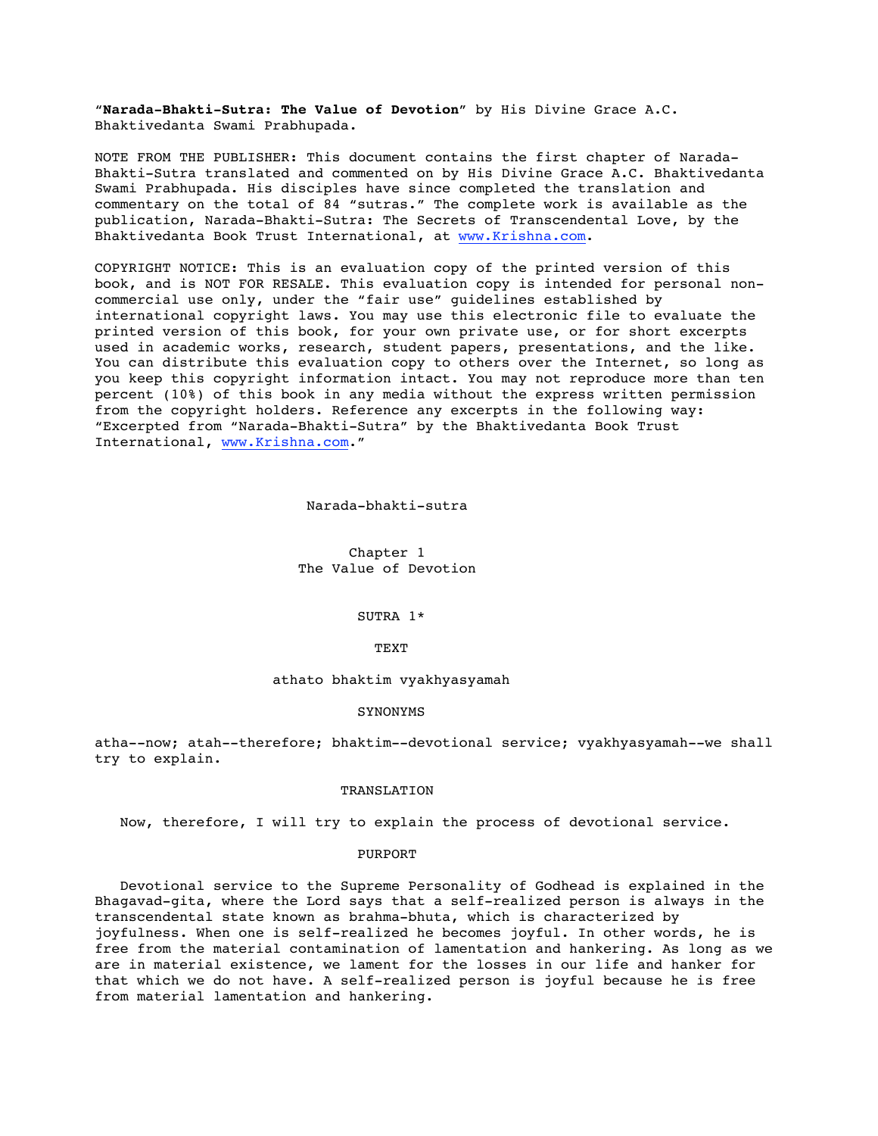"**Narada-Bhakti-Sutra: The Value of Devotion**" by His Divine Grace A.C. Bhaktivedanta Swami Prabhupada.

NOTE FROM THE PUBLISHER: This document contains the first chapter of Narada-Bhakti-Sutra translated and commented on by His Divine Grace A.C. Bhaktivedanta Swami Prabhupada. His disciples have since completed the translation and commentary on the total of 84 "sutras." The complete work is available as the publication, Narada-Bhakti-Sutra: The Secrets of Transcendental Love, by the Bhaktivedanta Book Trust International, at www.Krishna.com.

COPYRIGHT NOTICE: This is an evaluation copy of the printed version of this book, and is NOT FOR RESALE. This evaluation copy is intended for personal noncommercial use only, under the "fair use" guidelines established by international copyright laws. You may use this electronic file to evaluate the printed version of this book, for your own private use, or for short excerpts used in academic works, research, student papers, presentations, and the like. You can distribute this evaluation copy to others over the Internet, so long as you keep this copyright information intact. You may not reproduce more than ten percent (10%) of this book in any media without the express written permission from the copyright holders. Reference any excerpts in the following way: "Excerpted from "Narada-Bhakti-Sutra" by the Bhaktivedanta Book Trust International, www.Krishna.com."

Narada-bhakti-sutra

 Chapter 1 The Value of Devotion

SUTRA 1\*

TEXT

# athato bhaktim vyakhyasyamah

# SYNONYMS

atha--now; atah--therefore; bhaktim--devotional service; vyakhyasyamah--we shall try to explain.

## TRANSLATION

Now, therefore, I will try to explain the process of devotional service.

# PURPORT

 Devotional service to the Supreme Personality of Godhead is explained in the Bhagavad-gita, where the Lord says that a self-realized person is always in the transcendental state known as brahma-bhuta, which is characterized by joyfulness. When one is self-realized he becomes joyful. In other words, he is free from the material contamination of lamentation and hankering. As long as we are in material existence, we lament for the losses in our life and hanker for that which we do not have. A self-realized person is joyful because he is free from material lamentation and hankering.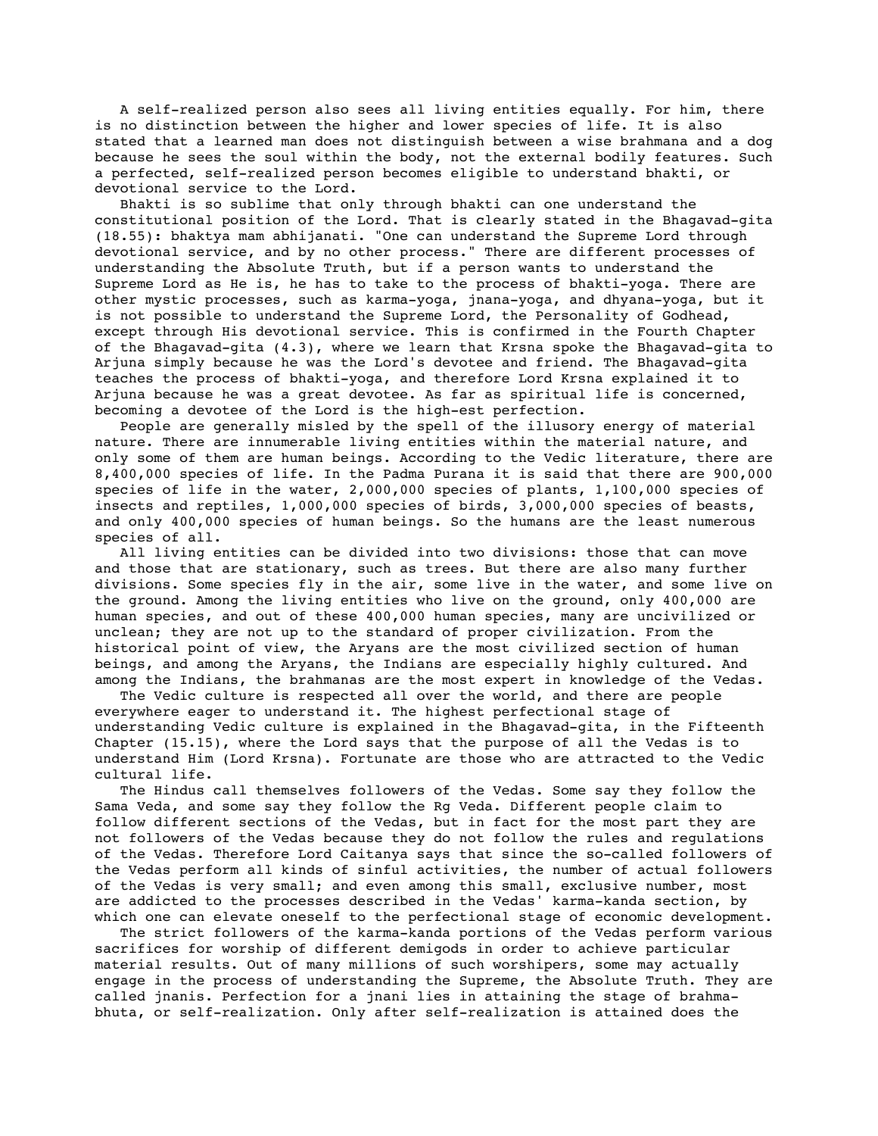A self-realized person also sees all living entities equally. For him, there is no distinction between the higher and lower species of life. It is also stated that a learned man does not distinguish between a wise brahmana and a dog because he sees the soul within the body, not the external bodily features. Such a perfected, self-realized person becomes eligible to understand bhakti, or devotional service to the Lord.

 Bhakti is so sublime that only through bhakti can one understand the constitutional position of the Lord. That is clearly stated in the Bhagavad-gita (18.55): bhaktya mam abhijanati. "One can understand the Supreme Lord through devotional service, and by no other process." There are different processes of understanding the Absolute Truth, but if a person wants to understand the Supreme Lord as He is, he has to take to the process of bhakti-yoga. There are other mystic processes, such as karma-yoga, jnana-yoga, and dhyana-yoga, but it is not possible to understand the Supreme Lord, the Personality of Godhead, except through His devotional service. This is confirmed in the Fourth Chapter of the Bhagavad-gita (4.3), where we learn that Krsna spoke the Bhagavad-gita to Arjuna simply because he was the Lord's devotee and friend. The Bhagavad-gita teaches the process of bhakti-yoga, and therefore Lord Krsna explained it to Arjuna because he was a great devotee. As far as spiritual life is concerned, becoming a devotee of the Lord is the high-est perfection.

 People are generally misled by the spell of the illusory energy of material nature. There are innumerable living entities within the material nature, and only some of them are human beings. According to the Vedic literature, there are 8,400,000 species of life. In the Padma Purana it is said that there are 900,000 species of life in the water, 2,000,000 species of plants, 1,100,000 species of insects and reptiles, 1,000,000 species of birds, 3,000,000 species of beasts, and only 400,000 species of human beings. So the humans are the least numerous species of all.

 All living entities can be divided into two divisions: those that can move and those that are stationary, such as trees. But there are also many further divisions. Some species fly in the air, some live in the water, and some live on the ground. Among the living entities who live on the ground, only 400,000 are human species, and out of these 400,000 human species, many are uncivilized or unclean; they are not up to the standard of proper civilization. From the historical point of view, the Aryans are the most civilized section of human beings, and among the Aryans, the Indians are especially highly cultured. And among the Indians, the brahmanas are the most expert in knowledge of the Vedas.

 The Vedic culture is respected all over the world, and there are people everywhere eager to understand it. The highest perfectional stage of understanding Vedic culture is explained in the Bhagavad-gita, in the Fifteenth Chapter (15.15), where the Lord says that the purpose of all the Vedas is to understand Him (Lord Krsna). Fortunate are those who are attracted to the Vedic cultural life.

 The Hindus call themselves followers of the Vedas. Some say they follow the Sama Veda, and some say they follow the Rg Veda. Different people claim to follow different sections of the Vedas, but in fact for the most part they are not followers of the Vedas because they do not follow the rules and regulations of the Vedas. Therefore Lord Caitanya says that since the so-called followers of the Vedas perform all kinds of sinful activities, the number of actual followers of the Vedas is very small; and even among this small, exclusive number, most are addicted to the processes described in the Vedas' karma-kanda section, by which one can elevate oneself to the perfectional stage of economic development.

 The strict followers of the karma-kanda portions of the Vedas perform various sacrifices for worship of different demigods in order to achieve particular material results. Out of many millions of such worshipers, some may actually engage in the process of understanding the Supreme, the Absolute Truth. They are called jnanis. Perfection for a jnani lies in attaining the stage of brahmabhuta, or self-realization. Only after self-realization is attained does the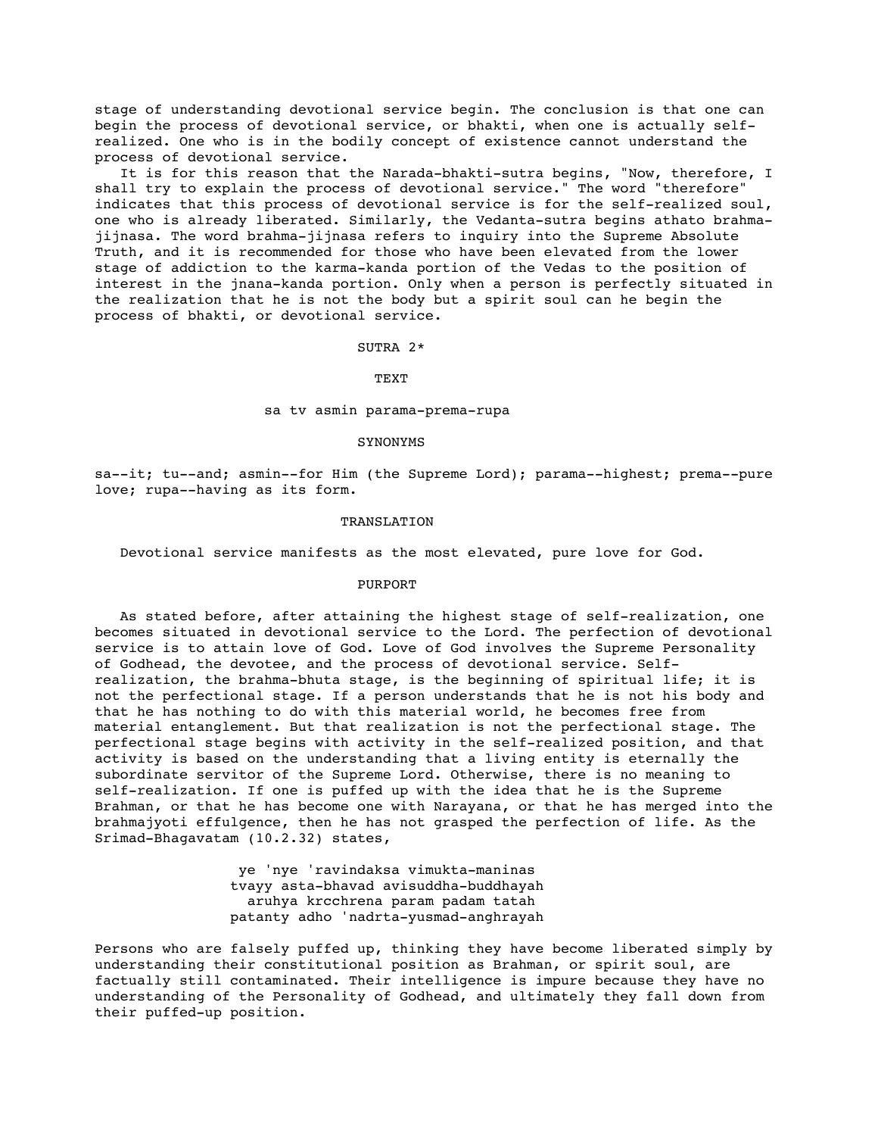stage of understanding devotional service begin. The conclusion is that one can begin the process of devotional service, or bhakti, when one is actually selfrealized. One who is in the bodily concept of existence cannot understand the process of devotional service.

 It is for this reason that the Narada-bhakti-sutra begins, "Now, therefore, I shall try to explain the process of devotional service." The word "therefore" indicates that this process of devotional service is for the self-realized soul, one who is already liberated. Similarly, the Vedanta-sutra begins athato brahmajijnasa. The word brahma-jijnasa refers to inquiry into the Supreme Absolute Truth, and it is recommended for those who have been elevated from the lower stage of addiction to the karma-kanda portion of the Vedas to the position of interest in the jnana-kanda portion. Only when a person is perfectly situated in the realization that he is not the body but a spirit soul can he begin the process of bhakti, or devotional service.

# SUTRA 2\*

TEXT

#### sa tv asmin parama-prema-rupa

# SYNONYMS

sa--it; tu--and; asmin--for Him (the Supreme Lord); parama--highest; prema--pure love; rupa--having as its form.

#### TRANSLATION

Devotional service manifests as the most elevated, pure love for God.

# PURPORT

 As stated before, after attaining the highest stage of self-realization, one becomes situated in devotional service to the Lord. The perfection of devotional service is to attain love of God. Love of God involves the Supreme Personality of Godhead, the devotee, and the process of devotional service. Selfrealization, the brahma-bhuta stage, is the beginning of spiritual life; it is not the perfectional stage. If a person understands that he is not his body and that he has nothing to do with this material world, he becomes free from material entanglement. But that realization is not the perfectional stage. The perfectional stage begins with activity in the self-realized position, and that activity is based on the understanding that a living entity is eternally the subordinate servitor of the Supreme Lord. Otherwise, there is no meaning to self-realization. If one is puffed up with the idea that he is the Supreme Brahman, or that he has become one with Narayana, or that he has merged into the brahmajyoti effulgence, then he has not grasped the perfection of life. As the Srimad-Bhagavatam (10.2.32) states,

> ye 'nye 'ravindaksa vimukta-maninas tvayy asta-bhavad avisuddha-buddhayah aruhya krcchrena param padam tatah patanty adho 'nadrta-yusmad-anghrayah

Persons who are falsely puffed up, thinking they have become liberated simply by understanding their constitutional position as Brahman, or spirit soul, are factually still contaminated. Their intelligence is impure because they have no understanding of the Personality of Godhead, and ultimately they fall down from their puffed-up position.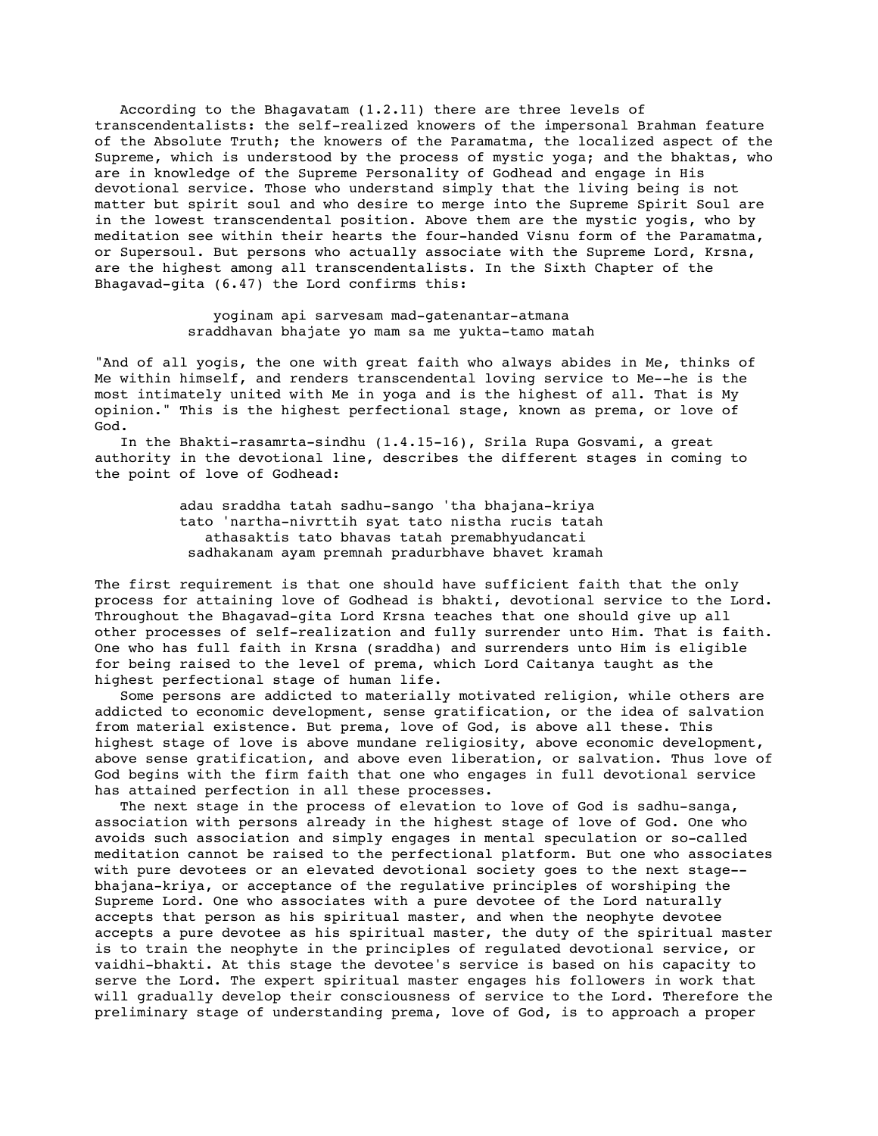According to the Bhagavatam (1.2.11) there are three levels of transcendentalists: the self-realized knowers of the impersonal Brahman feature of the Absolute Truth; the knowers of the Paramatma, the localized aspect of the Supreme, which is understood by the process of mystic yoga; and the bhaktas, who are in knowledge of the Supreme Personality of Godhead and engage in His devotional service. Those who understand simply that the living being is not matter but spirit soul and who desire to merge into the Supreme Spirit Soul are in the lowest transcendental position. Above them are the mystic yogis, who by meditation see within their hearts the four-handed Visnu form of the Paramatma, or Supersoul. But persons who actually associate with the Supreme Lord, Krsna, are the highest among all transcendentalists. In the Sixth Chapter of the Bhagavad-gita (6.47) the Lord confirms this:

> yoginam api sarvesam mad-gatenantar-atmana sraddhavan bhajate yo mam sa me yukta-tamo matah

"And of all yogis, the one with great faith who always abides in Me, thinks of Me within himself, and renders transcendental loving service to Me--he is the most intimately united with Me in yoga and is the highest of all. That is My opinion." This is the highest perfectional stage, known as prema, or love of God.

 In the Bhakti-rasamrta-sindhu (1.4.15-16), Srila Rupa Gosvami, a great authority in the devotional line, describes the different stages in coming to the point of love of Godhead:

> adau sraddha tatah sadhu-sango 'tha bhajana-kriya tato 'nartha-nivrttih syat tato nistha rucis tatah athasaktis tato bhavas tatah premabhyudancati sadhakanam ayam premnah pradurbhave bhavet kramah

The first requirement is that one should have sufficient faith that the only process for attaining love of Godhead is bhakti, devotional service to the Lord. Throughout the Bhagavad-gita Lord Krsna teaches that one should give up all other processes of self-realization and fully surrender unto Him. That is faith. One who has full faith in Krsna (sraddha) and surrenders unto Him is eligible for being raised to the level of prema, which Lord Caitanya taught as the highest perfectional stage of human life.

 Some persons are addicted to materially motivated religion, while others are addicted to economic development, sense gratification, or the idea of salvation from material existence. But prema, love of God, is above all these. This highest stage of love is above mundane religiosity, above economic development, above sense gratification, and above even liberation, or salvation. Thus love of God begins with the firm faith that one who engages in full devotional service has attained perfection in all these processes.

 The next stage in the process of elevation to love of God is sadhu-sanga, association with persons already in the highest stage of love of God. One who avoids such association and simply engages in mental speculation or so-called meditation cannot be raised to the perfectional platform. But one who associates with pure devotees or an elevated devotional society goes to the next stage- bhajana-kriya, or acceptance of the regulative principles of worshiping the Supreme Lord. One who associates with a pure devotee of the Lord naturally accepts that person as his spiritual master, and when the neophyte devotee accepts a pure devotee as his spiritual master, the duty of the spiritual master is to train the neophyte in the principles of regulated devotional service, or vaidhi-bhakti. At this stage the devotee's service is based on his capacity to serve the Lord. The expert spiritual master engages his followers in work that will gradually develop their consciousness of service to the Lord. Therefore the preliminary stage of understanding prema, love of God, is to approach a proper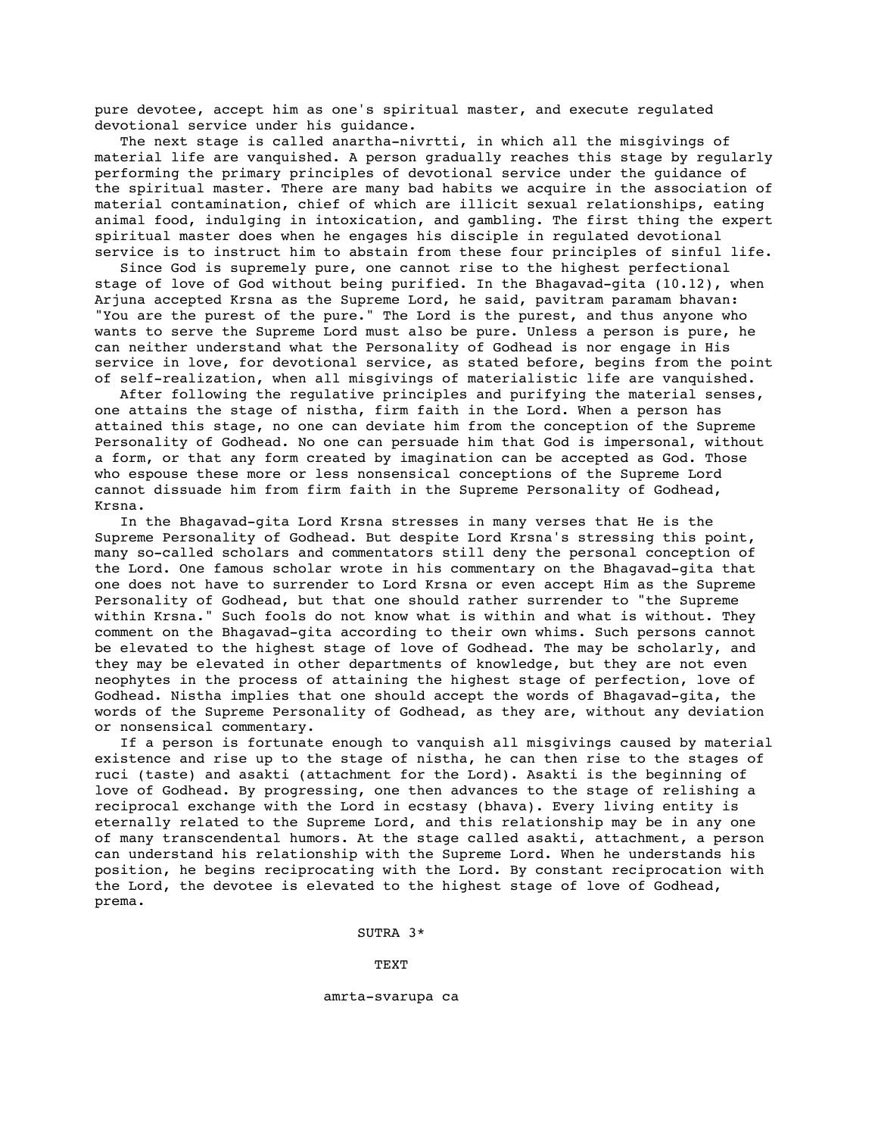pure devotee, accept him as one's spiritual master, and execute regulated devotional service under his guidance.

 The next stage is called anartha-nivrtti, in which all the misgivings of material life are vanquished. A person gradually reaches this stage by regularly performing the primary principles of devotional service under the guidance of the spiritual master. There are many bad habits we acquire in the association of material contamination, chief of which are illicit sexual relationships, eating animal food, indulging in intoxication, and gambling. The first thing the expert spiritual master does when he engages his disciple in regulated devotional service is to instruct him to abstain from these four principles of sinful life.

 Since God is supremely pure, one cannot rise to the highest perfectional stage of love of God without being purified. In the Bhagavad-gita (10.12), when Arjuna accepted Krsna as the Supreme Lord, he said, pavitram paramam bhavan: "You are the purest of the pure." The Lord is the purest, and thus anyone who wants to serve the Supreme Lord must also be pure. Unless a person is pure, he can neither understand what the Personality of Godhead is nor engage in His service in love, for devotional service, as stated before, begins from the point of self-realization, when all misgivings of materialistic life are vanquished.

 After following the regulative principles and purifying the material senses, one attains the stage of nistha, firm faith in the Lord. When a person has attained this stage, no one can deviate him from the conception of the Supreme Personality of Godhead. No one can persuade him that God is impersonal, without a form, or that any form created by imagination can be accepted as God. Those who espouse these more or less nonsensical conceptions of the Supreme Lord cannot dissuade him from firm faith in the Supreme Personality of Godhead, Krsna.

 In the Bhagavad-gita Lord Krsna stresses in many verses that He is the Supreme Personality of Godhead. But despite Lord Krsna's stressing this point, many so-called scholars and commentators still deny the personal conception of the Lord. One famous scholar wrote in his commentary on the Bhagavad-gita that one does not have to surrender to Lord Krsna or even accept Him as the Supreme Personality of Godhead, but that one should rather surrender to "the Supreme within Krsna." Such fools do not know what is within and what is without. They comment on the Bhagavad-gita according to their own whims. Such persons cannot be elevated to the highest stage of love of Godhead. The may be scholarly, and they may be elevated in other departments of knowledge, but they are not even neophytes in the process of attaining the highest stage of perfection, love of Godhead. Nistha implies that one should accept the words of Bhagavad-gita, the words of the Supreme Personality of Godhead, as they are, without any deviation or nonsensical commentary.

 If a person is fortunate enough to vanquish all misgivings caused by material existence and rise up to the stage of nistha, he can then rise to the stages of ruci (taste) and asakti (attachment for the Lord). Asakti is the beginning of love of Godhead. By progressing, one then advances to the stage of relishing a reciprocal exchange with the Lord in ecstasy (bhava). Every living entity is eternally related to the Supreme Lord, and this relationship may be in any one of many transcendental humors. At the stage called asakti, attachment, a person can understand his relationship with the Supreme Lord. When he understands his position, he begins reciprocating with the Lord. By constant reciprocation with the Lord, the devotee is elevated to the highest stage of love of Godhead, prema.

SUTRA 3\*

**TEXT** 

amrta-svarupa ca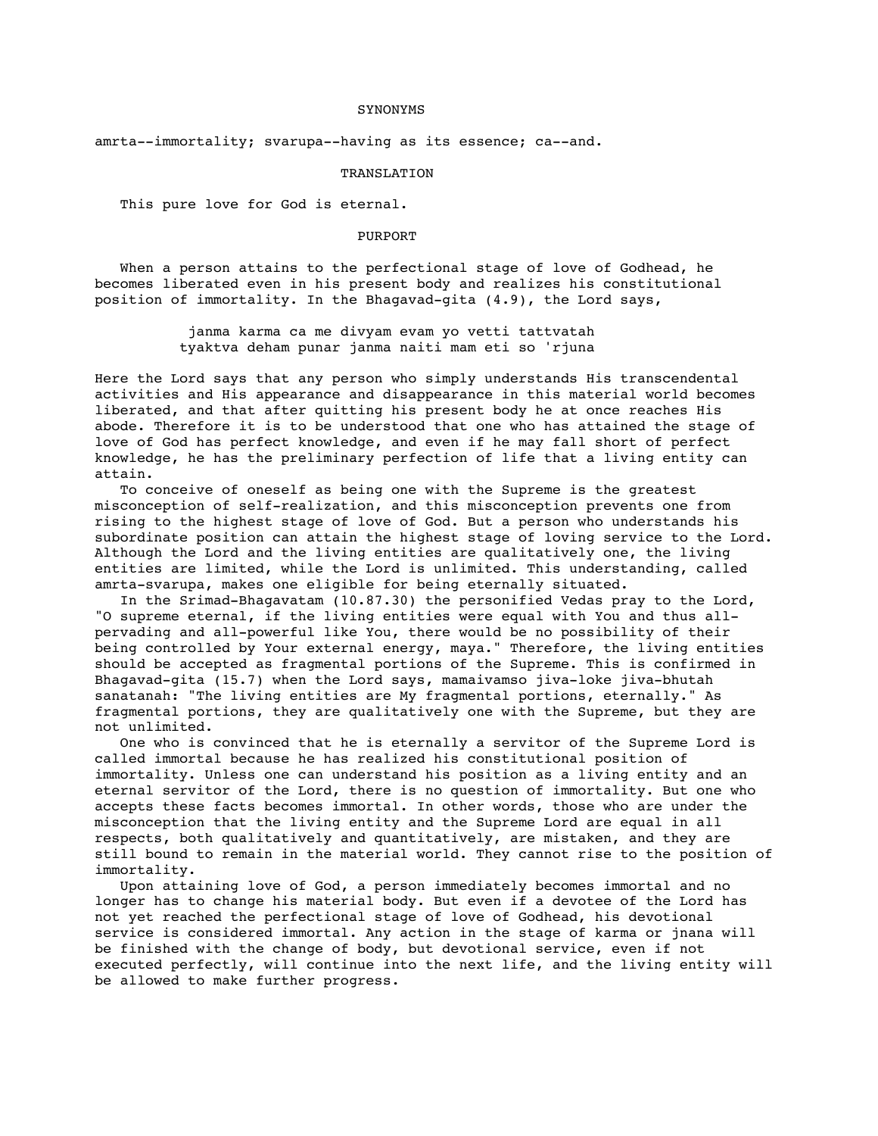#### SYNONYMS

amrta--immortality; svarupa--having as its essence; ca--and.

#### TRANSLATION

This pure love for God is eternal.

# PURPORT

 When a person attains to the perfectional stage of love of Godhead, he becomes liberated even in his present body and realizes his constitutional position of immortality. In the Bhagavad-gita (4.9), the Lord says,

> janma karma ca me divyam evam yo vetti tattvatah tyaktva deham punar janma naiti mam eti so 'rjuna

Here the Lord says that any person who simply understands His transcendental activities and His appearance and disappearance in this material world becomes liberated, and that after quitting his present body he at once reaches His abode. Therefore it is to be understood that one who has attained the stage of love of God has perfect knowledge, and even if he may fall short of perfect knowledge, he has the preliminary perfection of life that a living entity can attain.

 To conceive of oneself as being one with the Supreme is the greatest misconception of self-realization, and this misconception prevents one from rising to the highest stage of love of God. But a person who understands his subordinate position can attain the highest stage of loving service to the Lord. Although the Lord and the living entities are qualitatively one, the living entities are limited, while the Lord is unlimited. This understanding, called amrta-svarupa, makes one eligible for being eternally situated.

 In the Srimad-Bhagavatam (10.87.30) the personified Vedas pray to the Lord, "O supreme eternal, if the living entities were equal with You and thus allpervading and all-powerful like You, there would be no possibility of their being controlled by Your external energy, maya." Therefore, the living entities should be accepted as fragmental portions of the Supreme. This is confirmed in Bhagavad-gita (15.7) when the Lord says, mamaivamso jiva-loke jiva-bhutah sanatanah: "The living entities are My fragmental portions, eternally." As fragmental portions, they are qualitatively one with the Supreme, but they are not unlimited.

 One who is convinced that he is eternally a servitor of the Supreme Lord is called immortal because he has realized his constitutional position of immortality. Unless one can understand his position as a living entity and an eternal servitor of the Lord, there is no question of immortality. But one who accepts these facts becomes immortal. In other words, those who are under the misconception that the living entity and the Supreme Lord are equal in all respects, both qualitatively and quantitatively, are mistaken, and they are still bound to remain in the material world. They cannot rise to the position of immortality.

 Upon attaining love of God, a person immediately becomes immortal and no longer has to change his material body. But even if a devotee of the Lord has not yet reached the perfectional stage of love of Godhead, his devotional service is considered immortal. Any action in the stage of karma or jnana will be finished with the change of body, but devotional service, even if not executed perfectly, will continue into the next life, and the living entity will be allowed to make further progress.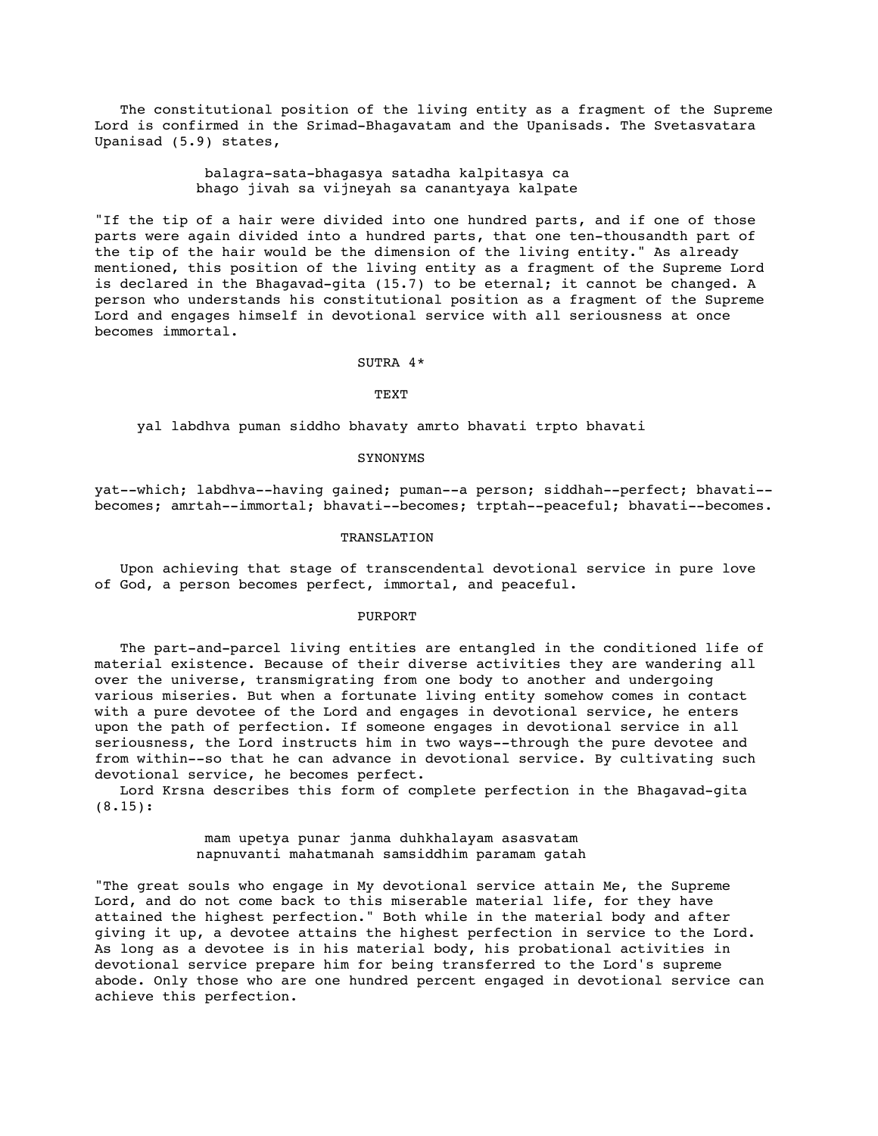The constitutional position of the living entity as a fragment of the Supreme Lord is confirmed in the Srimad-Bhagavatam and the Upanisads. The Svetasvatara Upanisad (5.9) states,

> balagra-sata-bhagasya satadha kalpitasya ca bhago jivah sa vijneyah sa canantyaya kalpate

"If the tip of a hair were divided into one hundred parts, and if one of those parts were again divided into a hundred parts, that one ten-thousandth part of the tip of the hair would be the dimension of the living entity." As already mentioned, this position of the living entity as a fragment of the Supreme Lord is declared in the Bhagavad-gita (15.7) to be eternal; it cannot be changed. A person who understands his constitutional position as a fragment of the Supreme Lord and engages himself in devotional service with all seriousness at once becomes immortal.

# SUTRA 4\*

**TEXT** 

yal labdhva puman siddho bhavaty amrto bhavati trpto bhavati

## SYNONYMS

yat--which; labdhva--having gained; puman--a person; siddhah--perfect; bhavati- becomes; amrtah--immortal; bhavati--becomes; trptah--peaceful; bhavati--becomes.

### TRANSLATION

 Upon achieving that stage of transcendental devotional service in pure love of God, a person becomes perfect, immortal, and peaceful.

# PURPORT

 The part-and-parcel living entities are entangled in the conditioned life of material existence. Because of their diverse activities they are wandering all over the universe, transmigrating from one body to another and undergoing various miseries. But when a fortunate living entity somehow comes in contact with a pure devotee of the Lord and engages in devotional service, he enters upon the path of perfection. If someone engages in devotional service in all seriousness, the Lord instructs him in two ways--through the pure devotee and from within--so that he can advance in devotional service. By cultivating such devotional service, he becomes perfect.

 Lord Krsna describes this form of complete perfection in the Bhagavad-gita (8.15):

> mam upetya punar janma duhkhalayam asasvatam napnuvanti mahatmanah samsiddhim paramam gatah

"The great souls who engage in My devotional service attain Me, the Supreme Lord, and do not come back to this miserable material life, for they have attained the highest perfection." Both while in the material body and after giving it up, a devotee attains the highest perfection in service to the Lord. As long as a devotee is in his material body, his probational activities in devotional service prepare him for being transferred to the Lord's supreme abode. Only those who are one hundred percent engaged in devotional service can achieve this perfection.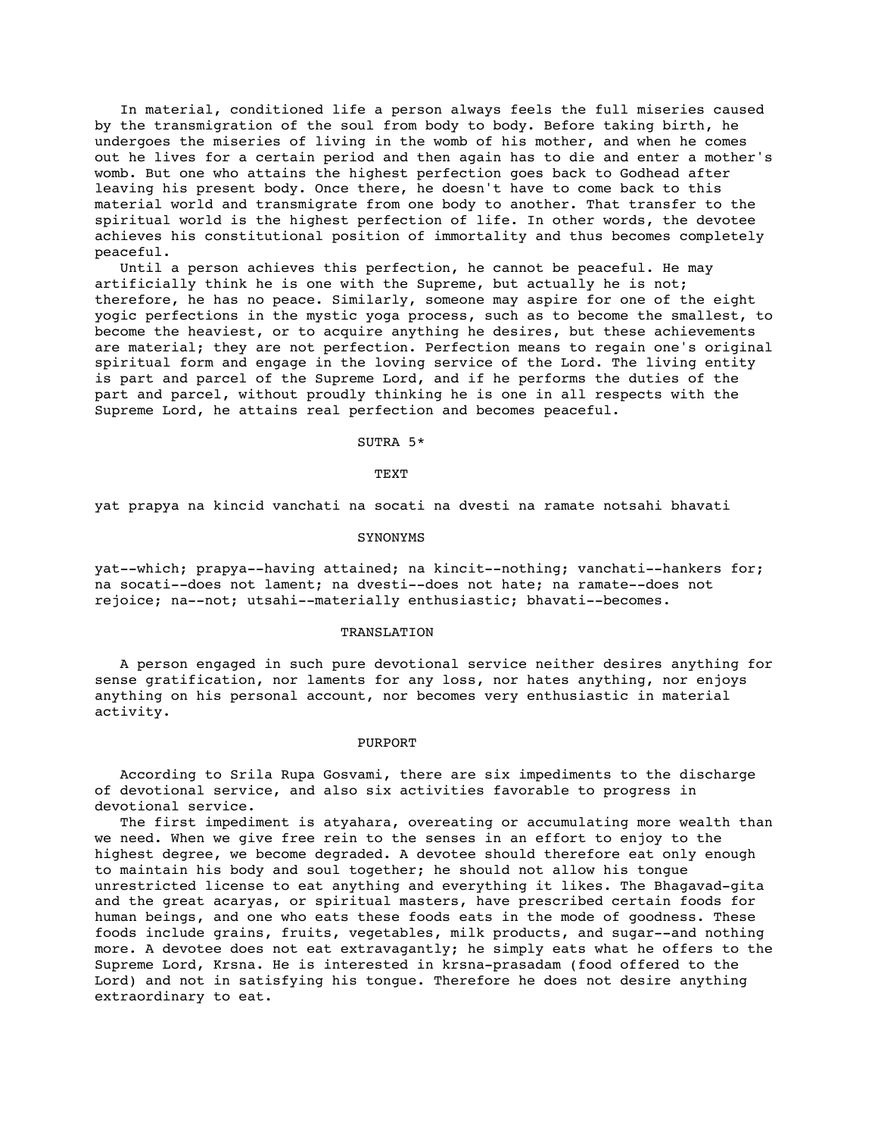In material, conditioned life a person always feels the full miseries caused by the transmigration of the soul from body to body. Before taking birth, he undergoes the miseries of living in the womb of his mother, and when he comes out he lives for a certain period and then again has to die and enter a mother's womb. But one who attains the highest perfection goes back to Godhead after leaving his present body. Once there, he doesn't have to come back to this material world and transmigrate from one body to another. That transfer to the spiritual world is the highest perfection of life. In other words, the devotee achieves his constitutional position of immortality and thus becomes completely peaceful.

 Until a person achieves this perfection, he cannot be peaceful. He may artificially think he is one with the Supreme, but actually he is not; therefore, he has no peace. Similarly, someone may aspire for one of the eight yogic perfections in the mystic yoga process, such as to become the smallest, to become the heaviest, or to acquire anything he desires, but these achievements are material; they are not perfection. Perfection means to regain one's original spiritual form and engage in the loving service of the Lord. The living entity is part and parcel of the Supreme Lord, and if he performs the duties of the part and parcel, without proudly thinking he is one in all respects with the Supreme Lord, he attains real perfection and becomes peaceful.

# SUTRA 5\*

TEXT

yat prapya na kincid vanchati na socati na dvesti na ramate notsahi bhavati

#### SYNONYMS

yat--which; prapya--having attained; na kincit--nothing; vanchati--hankers for; na socati--does not lament; na dvesti--does not hate; na ramate--does not rejoice; na--not; utsahi--materially enthusiastic; bhavati--becomes.

# TRANSLATION

 A person engaged in such pure devotional service neither desires anything for sense gratification, nor laments for any loss, nor hates anything, nor enjoys anything on his personal account, nor becomes very enthusiastic in material activity.

#### PURPORT

 According to Srila Rupa Gosvami, there are six impediments to the discharge of devotional service, and also six activities favorable to progress in devotional service.

 The first impediment is atyahara, overeating or accumulating more wealth than we need. When we give free rein to the senses in an effort to enjoy to the highest degree, we become degraded. A devotee should therefore eat only enough to maintain his body and soul together; he should not allow his tongue unrestricted license to eat anything and everything it likes. The Bhagavad-gita and the great acaryas, or spiritual masters, have prescribed certain foods for human beings, and one who eats these foods eats in the mode of goodness. These foods include grains, fruits, vegetables, milk products, and sugar--and nothing more. A devotee does not eat extravagantly; he simply eats what he offers to the Supreme Lord, Krsna. He is interested in krsna-prasadam (food offered to the Lord) and not in satisfying his tongue. Therefore he does not desire anything extraordinary to eat.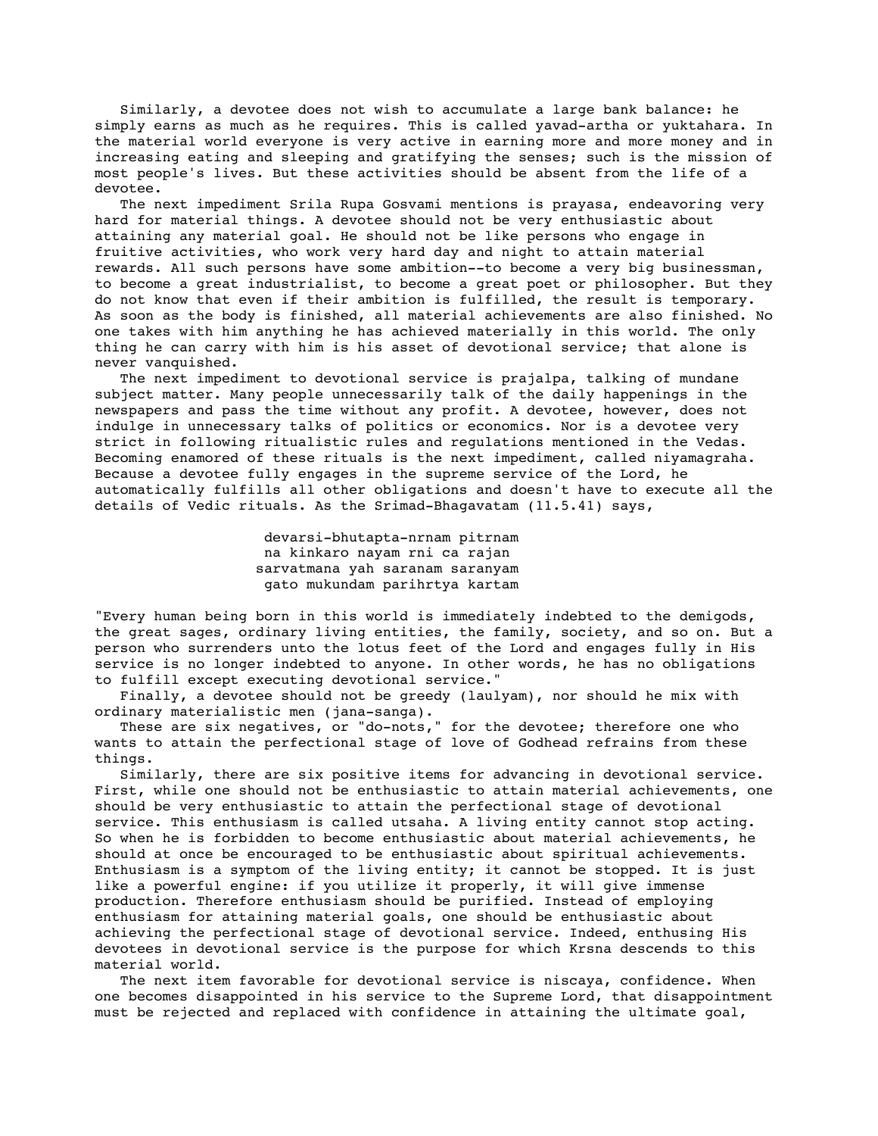Similarly, a devotee does not wish to accumulate a large bank balance: he simply earns as much as he requires. This is called yavad-artha or yuktahara. In the material world everyone is very active in earning more and more money and in increasing eating and sleeping and gratifying the senses; such is the mission of most people's lives. But these activities should be absent from the life of a devotee.

 The next impediment Srila Rupa Gosvami mentions is prayasa, endeavoring very hard for material things. A devotee should not be very enthusiastic about attaining any material goal. He should not be like persons who engage in fruitive activities, who work very hard day and night to attain material rewards. All such persons have some ambition--to become a very big businessman, to become a great industrialist, to become a great poet or philosopher. But they do not know that even if their ambition is fulfilled, the result is temporary. As soon as the body is finished, all material achievements are also finished. No one takes with him anything he has achieved materially in this world. The only thing he can carry with him is his asset of devotional service; that alone is never vanquished.

 The next impediment to devotional service is prajalpa, talking of mundane subject matter. Many people unnecessarily talk of the daily happenings in the newspapers and pass the time without any profit. A devotee, however, does not indulge in unnecessary talks of politics or economics. Nor is a devotee very strict in following ritualistic rules and regulations mentioned in the Vedas. Becoming enamored of these rituals is the next impediment, called niyamagraha. Because a devotee fully engages in the supreme service of the Lord, he automatically fulfills all other obligations and doesn't have to execute all the details of Vedic rituals. As the Srimad-Bhagavatam (11.5.41) says,

> devarsi-bhutapta-nrnam pitrnam na kinkaro nayam rni ca rajan sarvatmana yah saranam saranyam gato mukundam parihrtya kartam

"Every human being born in this world is immediately indebted to the demigods, the great sages, ordinary living entities, the family, society, and so on. But a person who surrenders unto the lotus feet of the Lord and engages fully in His service is no longer indebted to anyone. In other words, he has no obligations to fulfill except executing devotional service."

 Finally, a devotee should not be greedy (laulyam), nor should he mix with ordinary materialistic men (jana-sanga).

 These are six negatives, or "do-nots," for the devotee; therefore one who wants to attain the perfectional stage of love of Godhead refrains from these things.

 Similarly, there are six positive items for advancing in devotional service. First, while one should not be enthusiastic to attain material achievements, one should be very enthusiastic to attain the perfectional stage of devotional service. This enthusiasm is called utsaha. A living entity cannot stop acting. So when he is forbidden to become enthusiastic about material achievements, he should at once be encouraged to be enthusiastic about spiritual achievements. Enthusiasm is a symptom of the living entity; it cannot be stopped. It is just like a powerful engine: if you utilize it properly, it will give immense production. Therefore enthusiasm should be purified. Instead of employing enthusiasm for attaining material goals, one should be enthusiastic about achieving the perfectional stage of devotional service. Indeed, enthusing His devotees in devotional service is the purpose for which Krsna descends to this material world.

 The next item favorable for devotional service is niscaya, confidence. When one becomes disappointed in his service to the Supreme Lord, that disappointment must be rejected and replaced with confidence in attaining the ultimate goal,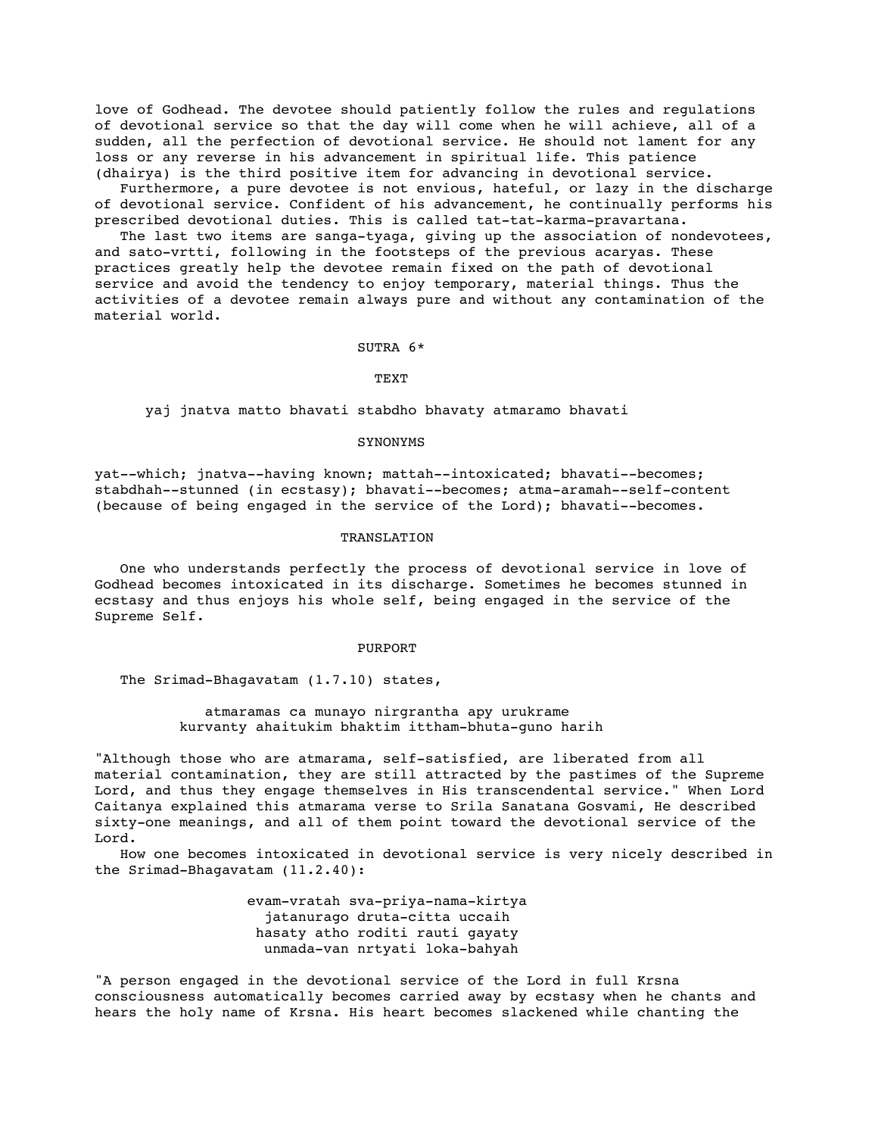love of Godhead. The devotee should patiently follow the rules and regulations of devotional service so that the day will come when he will achieve, all of a sudden, all the perfection of devotional service. He should not lament for any loss or any reverse in his advancement in spiritual life. This patience (dhairya) is the third positive item for advancing in devotional service.

 Furthermore, a pure devotee is not envious, hateful, or lazy in the discharge of devotional service. Confident of his advancement, he continually performs his prescribed devotional duties. This is called tat-tat-karma-pravartana.

The last two items are sanga-tyaga, giving up the association of nondevotees, and sato-vrtti, following in the footsteps of the previous acaryas. These practices greatly help the devotee remain fixed on the path of devotional service and avoid the tendency to enjoy temporary, material things. Thus the activities of a devotee remain always pure and without any contamination of the material world.

# SUTRA 6\*

TEXT

yaj jnatva matto bhavati stabdho bhavaty atmaramo bhavati

## SYNONYMS

yat--which; jnatva--having known; mattah--intoxicated; bhavati--becomes; stabdhah--stunned (in ecstasy); bhavati--becomes; atma-aramah--self-content (because of being engaged in the service of the Lord); bhavati--becomes.

### TRANSLATION

 One who understands perfectly the process of devotional service in love of Godhead becomes intoxicated in its discharge. Sometimes he becomes stunned in ecstasy and thus enjoys his whole self, being engaged in the service of the Supreme Self.

#### PURPORT

The Srimad-Bhagavatam (1.7.10) states,

 atmaramas ca munayo nirgrantha apy urukrame kurvanty ahaitukim bhaktim ittham-bhuta-guno harih

"Although those who are atmarama, self-satisfied, are liberated from all material contamination, they are still attracted by the pastimes of the Supreme Lord, and thus they engage themselves in His transcendental service." When Lord Caitanya explained this atmarama verse to Srila Sanatana Gosvami, He described sixty-one meanings, and all of them point toward the devotional service of the Lord.

 How one becomes intoxicated in devotional service is very nicely described in the Srimad-Bhagavatam (11.2.40):

> evam-vratah sva-priya-nama-kirtya jatanurago druta-citta uccaih hasaty atho roditi rauti gayaty unmada-van nrtyati loka-bahyah

"A person engaged in the devotional service of the Lord in full Krsna consciousness automatically becomes carried away by ecstasy when he chants and hears the holy name of Krsna. His heart becomes slackened while chanting the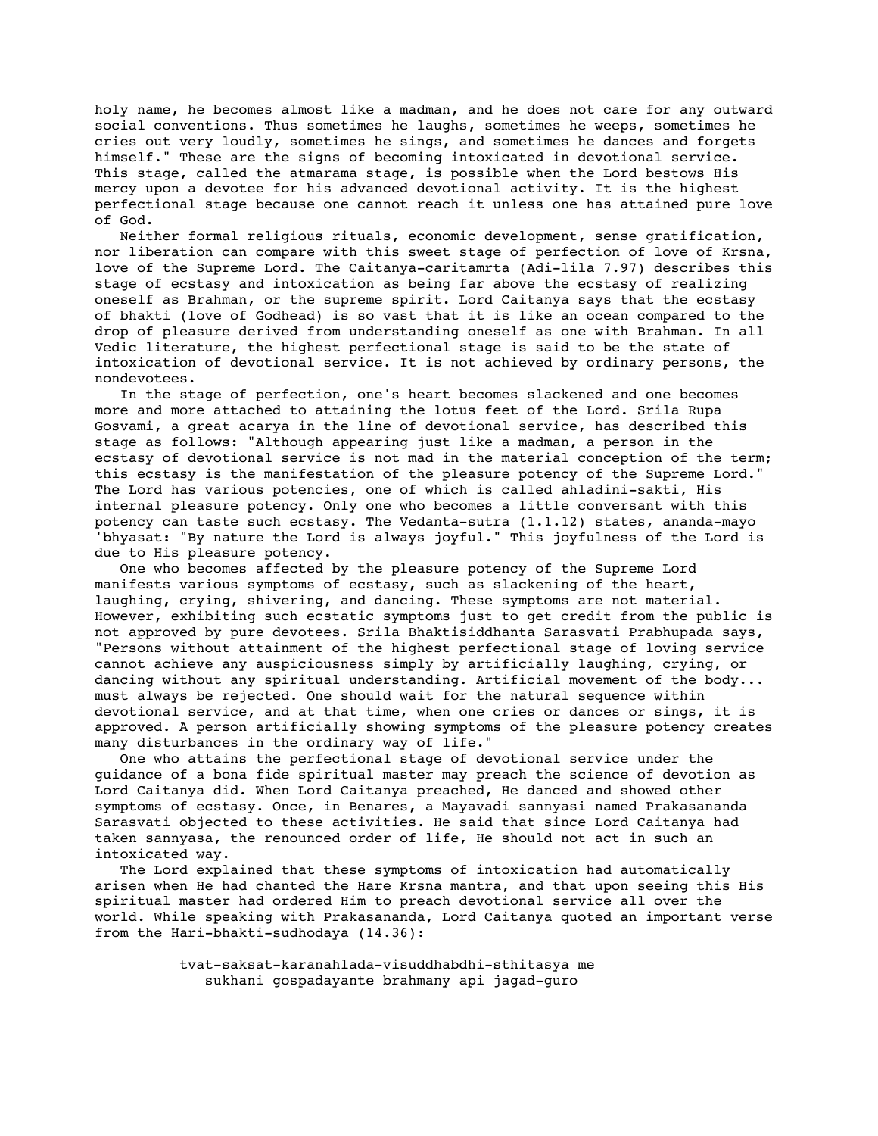holy name, he becomes almost like a madman, and he does not care for any outward social conventions. Thus sometimes he laughs, sometimes he weeps, sometimes he cries out very loudly, sometimes he sings, and sometimes he dances and forgets himself." These are the signs of becoming intoxicated in devotional service. This stage, called the atmarama stage, is possible when the Lord bestows His mercy upon a devotee for his advanced devotional activity. It is the highest perfectional stage because one cannot reach it unless one has attained pure love of God.

 Neither formal religious rituals, economic development, sense gratification, nor liberation can compare with this sweet stage of perfection of love of Krsna, love of the Supreme Lord. The Caitanya-caritamrta (Adi-lila 7.97) describes this stage of ecstasy and intoxication as being far above the ecstasy of realizing oneself as Brahman, or the supreme spirit. Lord Caitanya says that the ecstasy of bhakti (love of Godhead) is so vast that it is like an ocean compared to the drop of pleasure derived from understanding oneself as one with Brahman. In all Vedic literature, the highest perfectional stage is said to be the state of intoxication of devotional service. It is not achieved by ordinary persons, the nondevotees.

 In the stage of perfection, one's heart becomes slackened and one becomes more and more attached to attaining the lotus feet of the Lord. Srila Rupa Gosvami, a great acarya in the line of devotional service, has described this stage as follows: "Although appearing just like a madman, a person in the ecstasy of devotional service is not mad in the material conception of the term; this ecstasy is the manifestation of the pleasure potency of the Supreme Lord." The Lord has various potencies, one of which is called ahladini-sakti, His internal pleasure potency. Only one who becomes a little conversant with this potency can taste such ecstasy. The Vedanta-sutra (1.1.12) states, ananda-mayo 'bhyasat: "By nature the Lord is always joyful." This joyfulness of the Lord is due to His pleasure potency.

 One who becomes affected by the pleasure potency of the Supreme Lord manifests various symptoms of ecstasy, such as slackening of the heart, laughing, crying, shivering, and dancing. These symptoms are not material. However, exhibiting such ecstatic symptoms just to get credit from the public is not approved by pure devotees. Srila Bhaktisiddhanta Sarasvati Prabhupada says, "Persons without attainment of the highest perfectional stage of loving service cannot achieve any auspiciousness simply by artificially laughing, crying, or dancing without any spiritual understanding. Artificial movement of the body... must always be rejected. One should wait for the natural sequence within devotional service, and at that time, when one cries or dances or sings, it is approved. A person artificially showing symptoms of the pleasure potency creates many disturbances in the ordinary way of life."

 One who attains the perfectional stage of devotional service under the guidance of a bona fide spiritual master may preach the science of devotion as Lord Caitanya did. When Lord Caitanya preached, He danced and showed other symptoms of ecstasy. Once, in Benares, a Mayavadi sannyasi named Prakasananda Sarasvati objected to these activities. He said that since Lord Caitanya had taken sannyasa, the renounced order of life, He should not act in such an intoxicated way.

 The Lord explained that these symptoms of intoxication had automatically arisen when He had chanted the Hare Krsna mantra, and that upon seeing this His spiritual master had ordered Him to preach devotional service all over the world. While speaking with Prakasananda, Lord Caitanya quoted an important verse from the Hari-bhakti-sudhodaya (14.36):

> tvat-saksat-karanahlada-visuddhabdhi-sthitasya me sukhani gospadayante brahmany api jagad-guro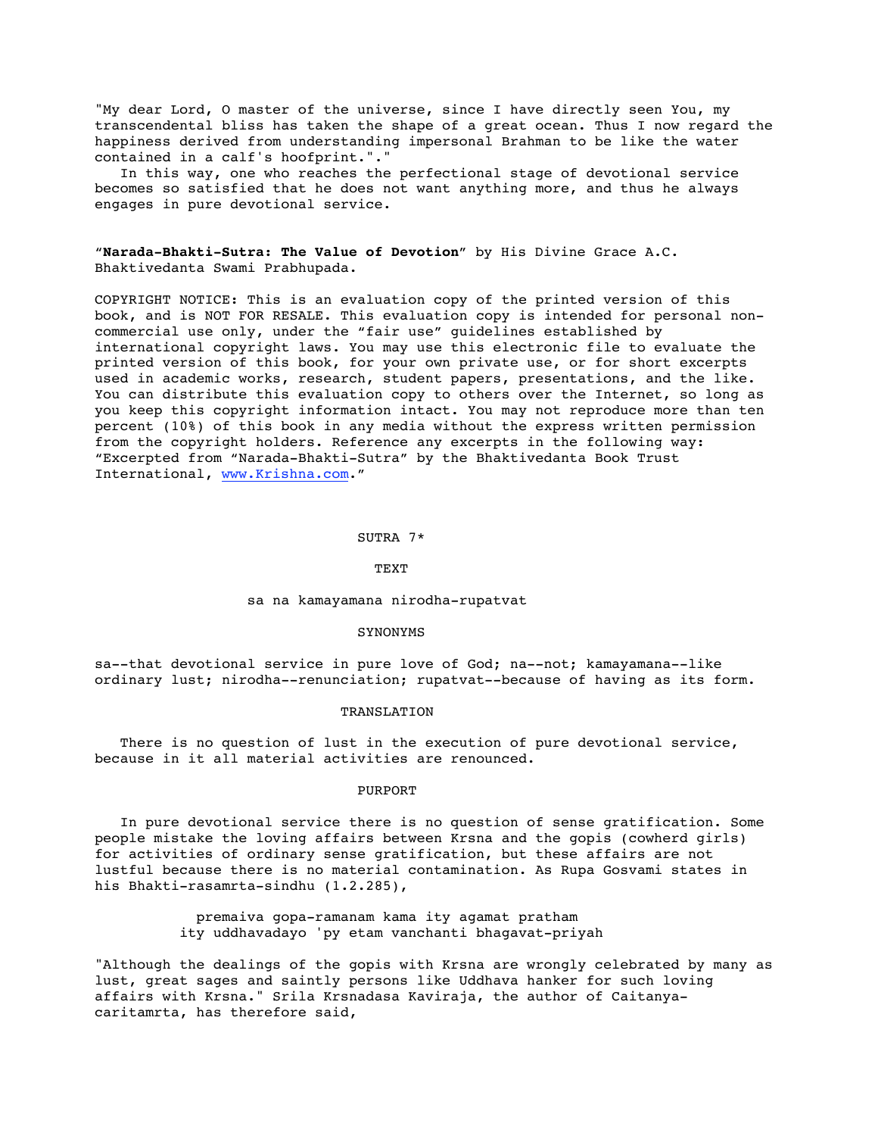"My dear Lord, O master of the universe, since I have directly seen You, my transcendental bliss has taken the shape of a great ocean. Thus I now regard the happiness derived from understanding impersonal Brahman to be like the water contained in a calf's hoofprint."."

 In this way, one who reaches the perfectional stage of devotional service becomes so satisfied that he does not want anything more, and thus he always engages in pure devotional service.

"**Narada-Bhakti-Sutra: The Value of Devotion**" by His Divine Grace A.C. Bhaktivedanta Swami Prabhupada.

COPYRIGHT NOTICE: This is an evaluation copy of the printed version of this book, and is NOT FOR RESALE. This evaluation copy is intended for personal noncommercial use only, under the "fair use" guidelines established by international copyright laws. You may use this electronic file to evaluate the printed version of this book, for your own private use, or for short excerpts used in academic works, research, student papers, presentations, and the like. You can distribute this evaluation copy to others over the Internet, so long as you keep this copyright information intact. You may not reproduce more than ten percent (10%) of this book in any media without the express written permission from the copyright holders. Reference any excerpts in the following way: "Excerpted from "Narada-Bhakti-Sutra" by the Bhaktivedanta Book Trust International, www.Krishna.com."

# SUTRA 7\*

# **TEXT**

# sa na kamayamana nirodha-rupatvat

#### SYNONYMS

sa--that devotional service in pure love of God; na--not; kamayamana--like ordinary lust; nirodha--renunciation; rupatvat--because of having as its form.

### TRANSLATION

 There is no question of lust in the execution of pure devotional service, because in it all material activities are renounced.

## PURPORT

 In pure devotional service there is no question of sense gratification. Some people mistake the loving affairs between Krsna and the gopis (cowherd girls) for activities of ordinary sense gratification, but these affairs are not lustful because there is no material contamination. As Rupa Gosvami states in his Bhakti-rasamrta-sindhu (1.2.285),

> premaiva gopa-ramanam kama ity agamat pratham ity uddhavadayo 'py etam vanchanti bhagavat-priyah

"Although the dealings of the gopis with Krsna are wrongly celebrated by many as lust, great sages and saintly persons like Uddhava hanker for such loving affairs with Krsna." Srila Krsnadasa Kaviraja, the author of Caitanyacaritamrta, has therefore said,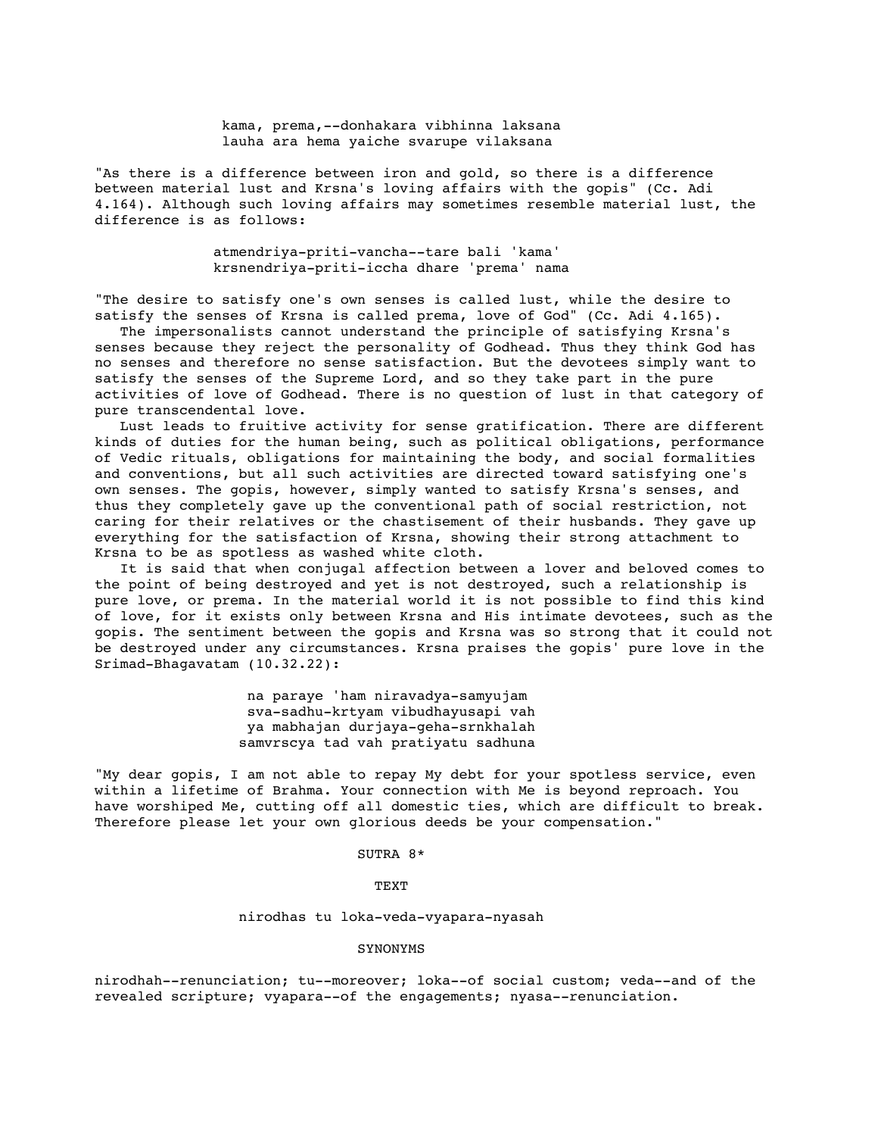kama, prema,--donhakara vibhinna laksana lauha ara hema yaiche svarupe vilaksana

"As there is a difference between iron and gold, so there is a difference between material lust and Krsna's loving affairs with the gopis" (Cc. Adi 4.164). Although such loving affairs may sometimes resemble material lust, the difference is as follows:

> atmendriya-priti-vancha--tare bali 'kama' krsnendriya-priti-iccha dhare 'prema' nama

"The desire to satisfy one's own senses is called lust, while the desire to satisfy the senses of Krsna is called prema, love of God" (Cc. Adi 4.165).

The impersonalists cannot understand the principle of satisfying Krsna's senses because they reject the personality of Godhead. Thus they think God has no senses and therefore no sense satisfaction. But the devotees simply want to satisfy the senses of the Supreme Lord, and so they take part in the pure activities of love of Godhead. There is no question of lust in that category of pure transcendental love.

 Lust leads to fruitive activity for sense gratification. There are different kinds of duties for the human being, such as political obligations, performance of Vedic rituals, obligations for maintaining the body, and social formalities and conventions, but all such activities are directed toward satisfying one's own senses. The gopis, however, simply wanted to satisfy Krsna's senses, and thus they completely gave up the conventional path of social restriction, not caring for their relatives or the chastisement of their husbands. They gave up everything for the satisfaction of Krsna, showing their strong attachment to Krsna to be as spotless as washed white cloth.

 It is said that when conjugal affection between a lover and beloved comes to the point of being destroyed and yet is not destroyed, such a relationship is pure love, or prema. In the material world it is not possible to find this kind of love, for it exists only between Krsna and His intimate devotees, such as the gopis. The sentiment between the gopis and Krsna was so strong that it could not be destroyed under any circumstances. Krsna praises the gopis' pure love in the Srimad-Bhagavatam (10.32.22):

> na paraye 'ham niravadya-samyujam sva-sadhu-krtyam vibudhayusapi vah ya mabhajan durjaya-geha-srnkhalah samvrscya tad vah pratiyatu sadhuna

"My dear gopis, I am not able to repay My debt for your spotless service, even within a lifetime of Brahma. Your connection with Me is beyond reproach. You have worshiped Me, cutting off all domestic ties, which are difficult to break. Therefore please let your own glorious deeds be your compensation."

SUTRA 8\*

TEXT

nirodhas tu loka-veda-vyapara-nyasah

SYNONYMS

nirodhah--renunciation; tu--moreover; loka--of social custom; veda--and of the revealed scripture; vyapara--of the engagements; nyasa--renunciation.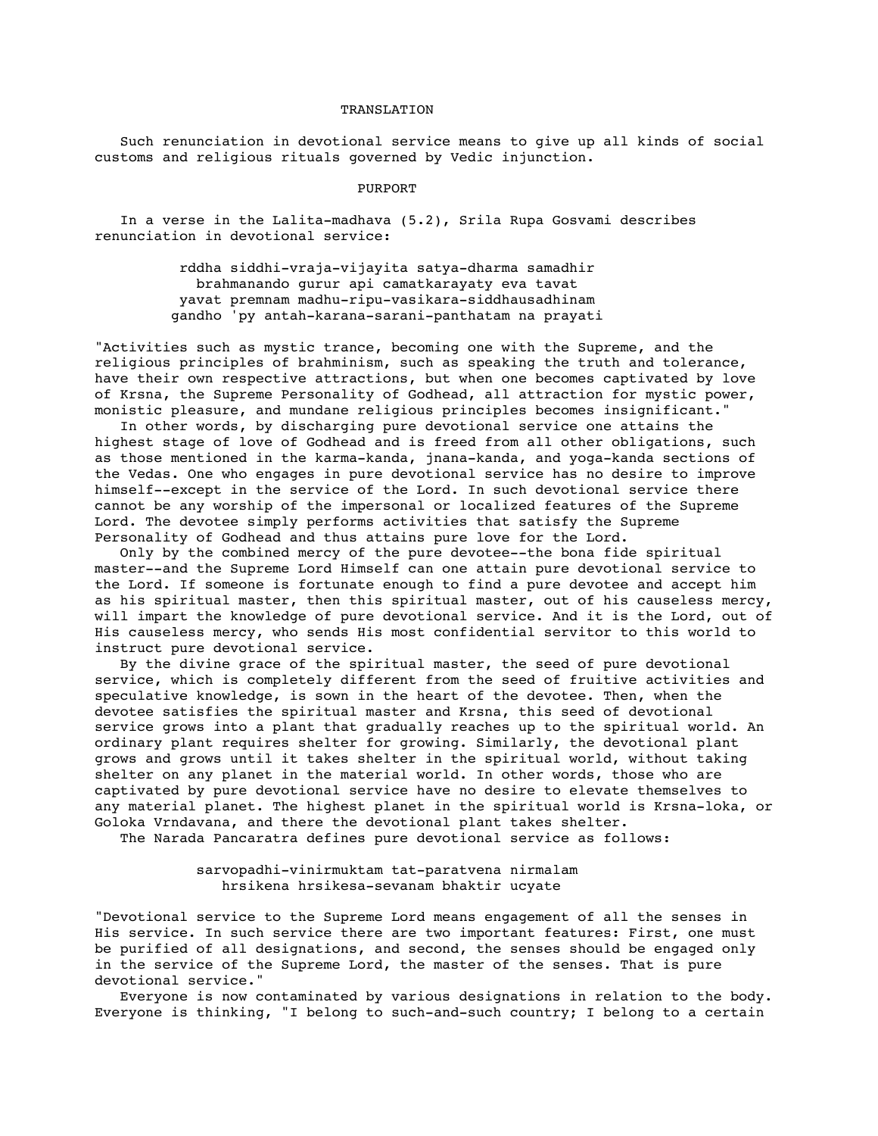### TRANSLATION

 Such renunciation in devotional service means to give up all kinds of social customs and religious rituals governed by Vedic injunction.

### PURPORT

 In a verse in the Lalita-madhava (5.2), Srila Rupa Gosvami describes renunciation in devotional service:

> rddha siddhi-vraja-vijayita satya-dharma samadhir brahmanando gurur api camatkarayaty eva tavat yavat premnam madhu-ripu-vasikara-siddhausadhinam gandho 'py antah-karana-sarani-panthatam na prayati

"Activities such as mystic trance, becoming one with the Supreme, and the religious principles of brahminism, such as speaking the truth and tolerance, have their own respective attractions, but when one becomes captivated by love of Krsna, the Supreme Personality of Godhead, all attraction for mystic power, monistic pleasure, and mundane religious principles becomes insignificant."

 In other words, by discharging pure devotional service one attains the highest stage of love of Godhead and is freed from all other obligations, such as those mentioned in the karma-kanda, jnana-kanda, and yoga-kanda sections of the Vedas. One who engages in pure devotional service has no desire to improve himself--except in the service of the Lord. In such devotional service there cannot be any worship of the impersonal or localized features of the Supreme Lord. The devotee simply performs activities that satisfy the Supreme Personality of Godhead and thus attains pure love for the Lord.

 Only by the combined mercy of the pure devotee--the bona fide spiritual master--and the Supreme Lord Himself can one attain pure devotional service to the Lord. If someone is fortunate enough to find a pure devotee and accept him as his spiritual master, then this spiritual master, out of his causeless mercy, will impart the knowledge of pure devotional service. And it is the Lord, out of His causeless mercy, who sends His most confidential servitor to this world to instruct pure devotional service.

 By the divine grace of the spiritual master, the seed of pure devotional service, which is completely different from the seed of fruitive activities and speculative knowledge, is sown in the heart of the devotee. Then, when the devotee satisfies the spiritual master and Krsna, this seed of devotional service grows into a plant that gradually reaches up to the spiritual world. An ordinary plant requires shelter for growing. Similarly, the devotional plant grows and grows until it takes shelter in the spiritual world, without taking shelter on any planet in the material world. In other words, those who are captivated by pure devotional service have no desire to elevate themselves to any material planet. The highest planet in the spiritual world is Krsna-loka, or Goloka Vrndavana, and there the devotional plant takes shelter.

The Narada Pancaratra defines pure devotional service as follows:

# sarvopadhi-vinirmuktam tat-paratvena nirmalam hrsikena hrsikesa-sevanam bhaktir ucyate

"Devotional service to the Supreme Lord means engagement of all the senses in His service. In such service there are two important features: First, one must be purified of all designations, and second, the senses should be engaged only in the service of the Supreme Lord, the master of the senses. That is pure devotional service."

 Everyone is now contaminated by various designations in relation to the body. Everyone is thinking, "I belong to such-and-such country; I belong to a certain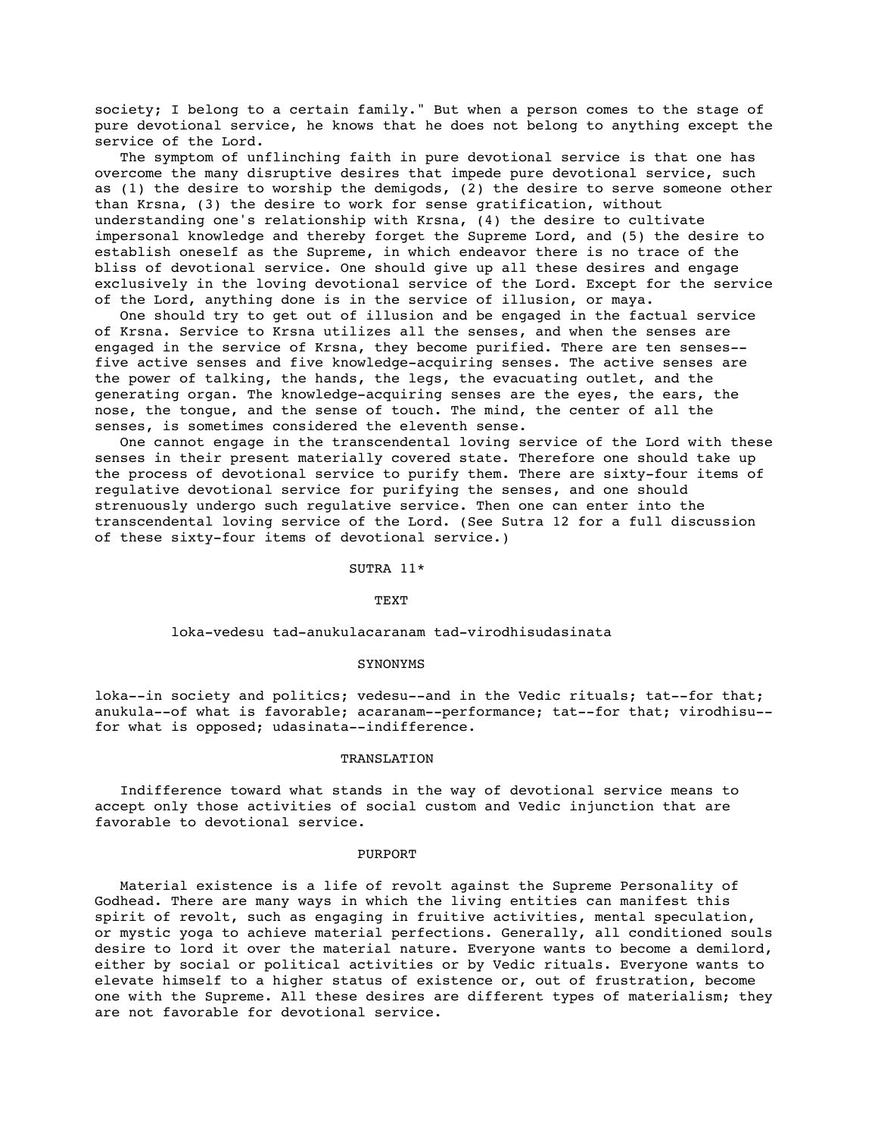society; I belong to a certain family." But when a person comes to the stage of pure devotional service, he knows that he does not belong to anything except the service of the Lord.

 The symptom of unflinching faith in pure devotional service is that one has overcome the many disruptive desires that impede pure devotional service, such as (1) the desire to worship the demigods, (2) the desire to serve someone other than Krsna, (3) the desire to work for sense gratification, without understanding one's relationship with Krsna, (4) the desire to cultivate impersonal knowledge and thereby forget the Supreme Lord, and (5) the desire to establish oneself as the Supreme, in which endeavor there is no trace of the bliss of devotional service. One should give up all these desires and engage exclusively in the loving devotional service of the Lord. Except for the service of the Lord, anything done is in the service of illusion, or maya.

 One should try to get out of illusion and be engaged in the factual service of Krsna. Service to Krsna utilizes all the senses, and when the senses are engaged in the service of Krsna, they become purified. There are ten senses- five active senses and five knowledge-acquiring senses. The active senses are the power of talking, the hands, the legs, the evacuating outlet, and the generating organ. The knowledge-acquiring senses are the eyes, the ears, the nose, the tongue, and the sense of touch. The mind, the center of all the senses, is sometimes considered the eleventh sense.

 One cannot engage in the transcendental loving service of the Lord with these senses in their present materially covered state. Therefore one should take up the process of devotional service to purify them. There are sixty-four items of regulative devotional service for purifying the senses, and one should strenuously undergo such regulative service. Then one can enter into the transcendental loving service of the Lord. (See Sutra 12 for a full discussion of these sixty-four items of devotional service.)

SUTRA 11\*

TEXT

# loka-vedesu tad-anukulacaranam tad-virodhisudasinata

## SYNONYMS

loka--in society and politics; vedesu--and in the Vedic rituals; tat--for that; anukula--of what is favorable; acaranam--performance; tat--for that; virodhisu- for what is opposed; udasinata--indifference.

# TRANSLATION

 Indifference toward what stands in the way of devotional service means to accept only those activities of social custom and Vedic injunction that are favorable to devotional service.

# PURPORT

 Material existence is a life of revolt against the Supreme Personality of Godhead. There are many ways in which the living entities can manifest this spirit of revolt, such as engaging in fruitive activities, mental speculation, or mystic yoga to achieve material perfections. Generally, all conditioned souls desire to lord it over the material nature. Everyone wants to become a demilord, either by social or political activities or by Vedic rituals. Everyone wants to elevate himself to a higher status of existence or, out of frustration, become one with the Supreme. All these desires are different types of materialism; they are not favorable for devotional service.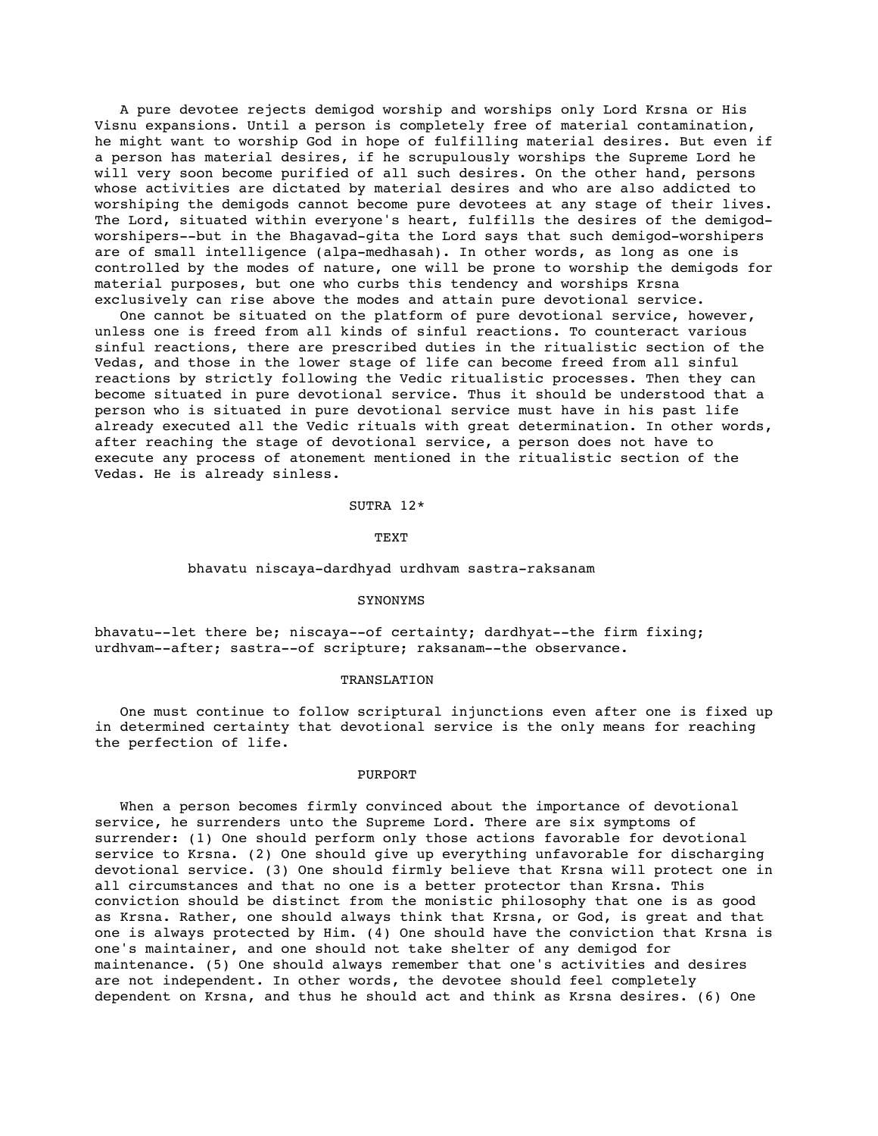A pure devotee rejects demigod worship and worships only Lord Krsna or His Visnu expansions. Until a person is completely free of material contamination, he might want to worship God in hope of fulfilling material desires. But even if a person has material desires, if he scrupulously worships the Supreme Lord he will very soon become purified of all such desires. On the other hand, persons whose activities are dictated by material desires and who are also addicted to worshiping the demigods cannot become pure devotees at any stage of their lives. The Lord, situated within everyone's heart, fulfills the desires of the demigodworshipers--but in the Bhagavad-gita the Lord says that such demigod-worshipers are of small intelligence (alpa-medhasah). In other words, as long as one is controlled by the modes of nature, one will be prone to worship the demigods for material purposes, but one who curbs this tendency and worships Krsna exclusively can rise above the modes and attain pure devotional service.

 One cannot be situated on the platform of pure devotional service, however, unless one is freed from all kinds of sinful reactions. To counteract various sinful reactions, there are prescribed duties in the ritualistic section of the Vedas, and those in the lower stage of life can become freed from all sinful reactions by strictly following the Vedic ritualistic processes. Then they can become situated in pure devotional service. Thus it should be understood that a person who is situated in pure devotional service must have in his past life already executed all the Vedic rituals with great determination. In other words, after reaching the stage of devotional service, a person does not have to execute any process of atonement mentioned in the ritualistic section of the Vedas. He is already sinless.

# SUTRA 12\*

**TEXT** 

# bhavatu niscaya-dardhyad urdhvam sastra-raksanam

# SYNONYMS

bhavatu--let there be; niscaya--of certainty; dardhyat--the firm fixing; urdhvam--after; sastra--of scripture; raksanam--the observance.

## TRANSLATION

 One must continue to follow scriptural injunctions even after one is fixed up in determined certainty that devotional service is the only means for reaching the perfection of life.

#### PURPORT

 When a person becomes firmly convinced about the importance of devotional service, he surrenders unto the Supreme Lord. There are six symptoms of surrender: (1) One should perform only those actions favorable for devotional service to Krsna. (2) One should give up everything unfavorable for discharging devotional service. (3) One should firmly believe that Krsna will protect one in all circumstances and that no one is a better protector than Krsna. This conviction should be distinct from the monistic philosophy that one is as good as Krsna. Rather, one should always think that Krsna, or God, is great and that one is always protected by Him. (4) One should have the conviction that Krsna is one's maintainer, and one should not take shelter of any demigod for maintenance. (5) One should always remember that one's activities and desires are not independent. In other words, the devotee should feel completely dependent on Krsna, and thus he should act and think as Krsna desires. (6) One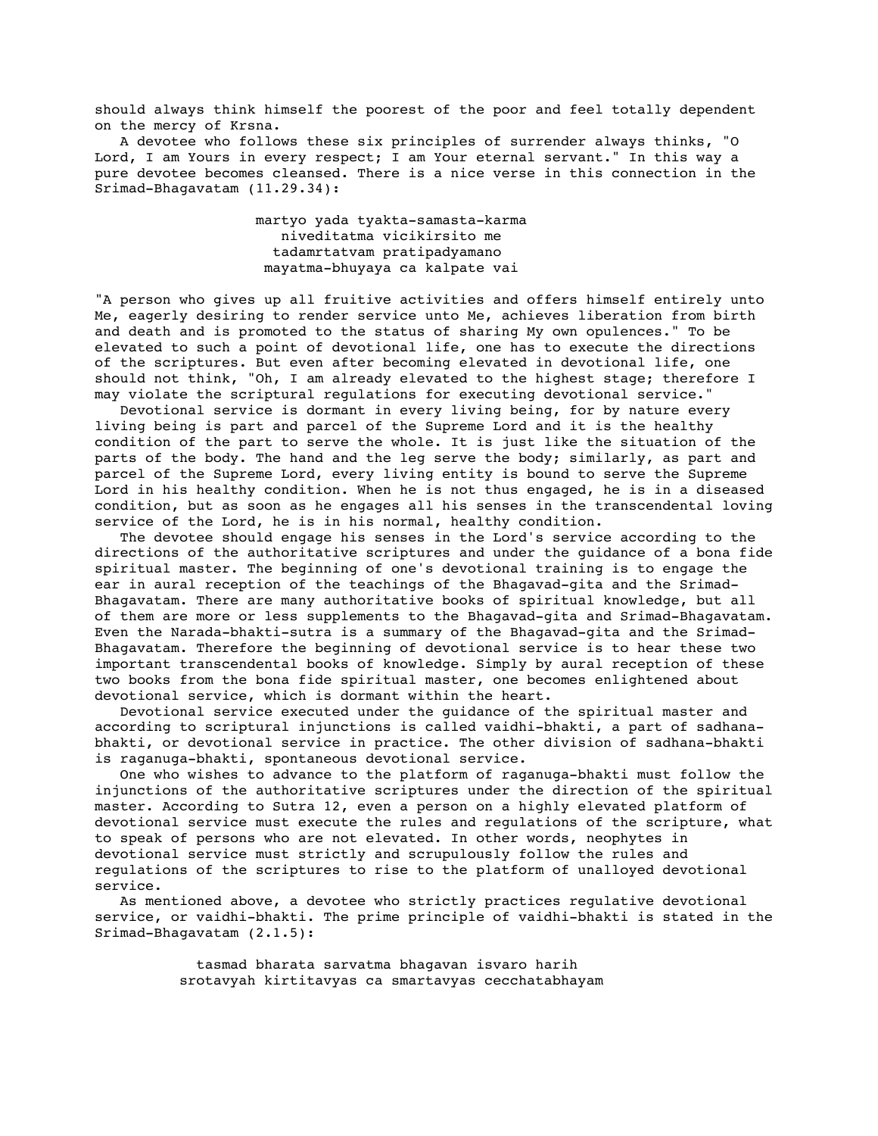should always think himself the poorest of the poor and feel totally dependent on the mercy of Krsna.

 A devotee who follows these six principles of surrender always thinks, "O Lord, I am Yours in every respect; I am Your eternal servant." In this way a pure devotee becomes cleansed. There is a nice verse in this connection in the Srimad-Bhagavatam (11.29.34):

> martyo yada tyakta-samasta-karma niveditatma vicikirsito me tadamrtatvam pratipadyamano mayatma-bhuyaya ca kalpate vai

"A person who gives up all fruitive activities and offers himself entirely unto Me, eagerly desiring to render service unto Me, achieves liberation from birth and death and is promoted to the status of sharing My own opulences." To be elevated to such a point of devotional life, one has to execute the directions of the scriptures. But even after becoming elevated in devotional life, one should not think, "Oh, I am already elevated to the highest stage; therefore I may violate the scriptural regulations for executing devotional service."

 Devotional service is dormant in every living being, for by nature every living being is part and parcel of the Supreme Lord and it is the healthy condition of the part to serve the whole. It is just like the situation of the parts of the body. The hand and the leg serve the body; similarly, as part and parcel of the Supreme Lord, every living entity is bound to serve the Supreme Lord in his healthy condition. When he is not thus engaged, he is in a diseased condition, but as soon as he engages all his senses in the transcendental loving service of the Lord, he is in his normal, healthy condition.

 The devotee should engage his senses in the Lord's service according to the directions of the authoritative scriptures and under the guidance of a bona fide spiritual master. The beginning of one's devotional training is to engage the ear in aural reception of the teachings of the Bhagavad-gita and the Srimad-Bhagavatam. There are many authoritative books of spiritual knowledge, but all of them are more or less supplements to the Bhagavad-gita and Srimad-Bhagavatam. Even the Narada-bhakti-sutra is a summary of the Bhagavad-gita and the Srimad-Bhagavatam. Therefore the beginning of devotional service is to hear these two important transcendental books of knowledge. Simply by aural reception of these two books from the bona fide spiritual master, one becomes enlightened about devotional service, which is dormant within the heart.

 Devotional service executed under the guidance of the spiritual master and according to scriptural injunctions is called vaidhi-bhakti, a part of sadhanabhakti, or devotional service in practice. The other division of sadhana-bhakti is raganuga-bhakti, spontaneous devotional service.

 One who wishes to advance to the platform of raganuga-bhakti must follow the injunctions of the authoritative scriptures under the direction of the spiritual master. According to Sutra 12, even a person on a highly elevated platform of devotional service must execute the rules and regulations of the scripture, what to speak of persons who are not elevated. In other words, neophytes in devotional service must strictly and scrupulously follow the rules and regulations of the scriptures to rise to the platform of unalloyed devotional service.

 As mentioned above, a devotee who strictly practices regulative devotional service, or vaidhi-bhakti. The prime principle of vaidhi-bhakti is stated in the Srimad-Bhagavatam (2.1.5):

> tasmad bharata sarvatma bhagavan isvaro harih srotavyah kirtitavyas ca smartavyas cecchatabhayam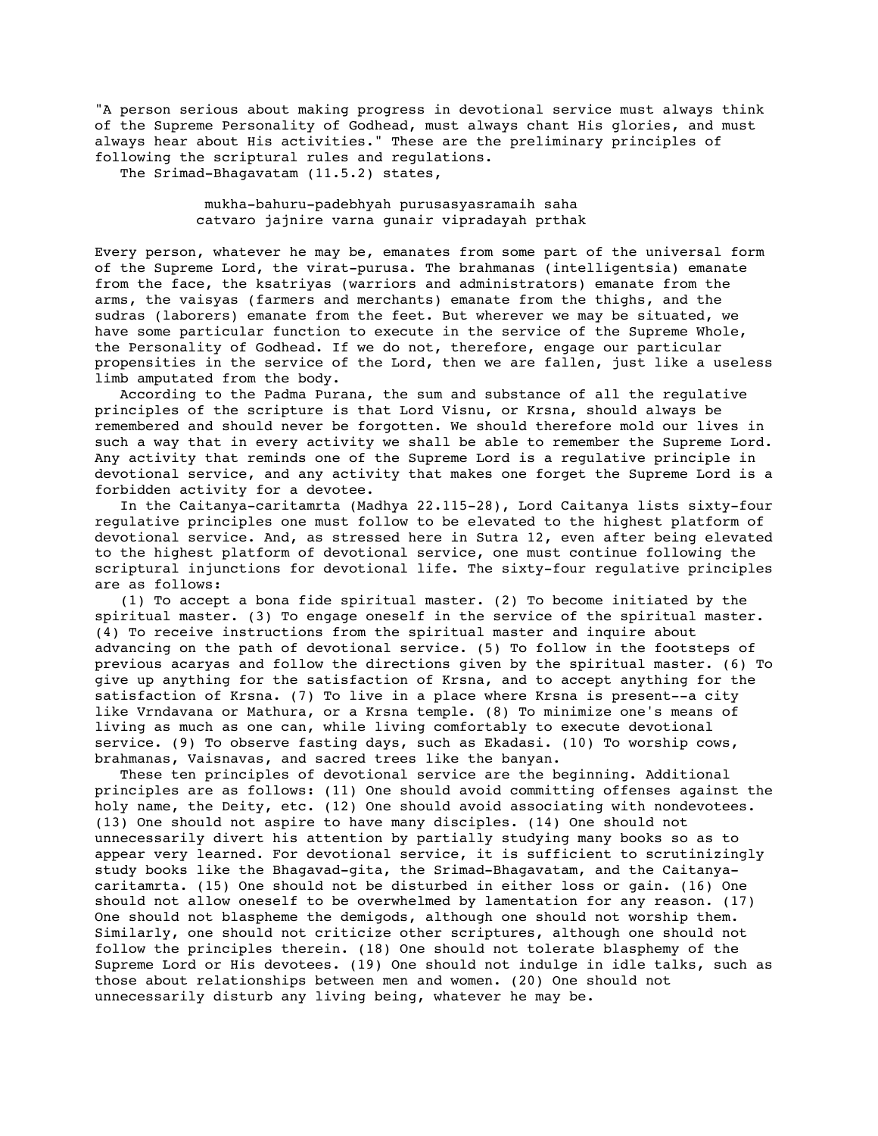"A person serious about making progress in devotional service must always think of the Supreme Personality of Godhead, must always chant His glories, and must always hear about His activities." These are the preliminary principles of following the scriptural rules and regulations.

The Srimad-Bhagavatam (11.5.2) states,

 mukha-bahuru-padebhyah purusasyasramaih saha catvaro jajnire varna gunair vipradayah prthak

Every person, whatever he may be, emanates from some part of the universal form of the Supreme Lord, the virat-purusa. The brahmanas (intelligentsia) emanate from the face, the ksatriyas (warriors and administrators) emanate from the arms, the vaisyas (farmers and merchants) emanate from the thighs, and the sudras (laborers) emanate from the feet. But wherever we may be situated, we have some particular function to execute in the service of the Supreme Whole, the Personality of Godhead. If we do not, therefore, engage our particular propensities in the service of the Lord, then we are fallen, just like a useless limb amputated from the body.

 According to the Padma Purana, the sum and substance of all the regulative principles of the scripture is that Lord Visnu, or Krsna, should always be remembered and should never be forgotten. We should therefore mold our lives in such a way that in every activity we shall be able to remember the Supreme Lord. Any activity that reminds one of the Supreme Lord is a regulative principle in devotional service, and any activity that makes one forget the Supreme Lord is a forbidden activity for a devotee.

 In the Caitanya-caritamrta (Madhya 22.115-28), Lord Caitanya lists sixty-four regulative principles one must follow to be elevated to the highest platform of devotional service. And, as stressed here in Sutra 12, even after being elevated to the highest platform of devotional service, one must continue following the scriptural injunctions for devotional life. The sixty-four regulative principles are as follows:

 (1) To accept a bona fide spiritual master. (2) To become initiated by the spiritual master. (3) To engage oneself in the service of the spiritual master. (4) To receive instructions from the spiritual master and inquire about advancing on the path of devotional service. (5) To follow in the footsteps of previous acaryas and follow the directions given by the spiritual master. (6) To give up anything for the satisfaction of Krsna, and to accept anything for the satisfaction of Krsna. (7) To live in a place where Krsna is present--a city like Vrndavana or Mathura, or a Krsna temple. (8) To minimize one's means of living as much as one can, while living comfortably to execute devotional service. (9) To observe fasting days, such as Ekadasi. (10) To worship cows, brahmanas, Vaisnavas, and sacred trees like the banyan.

 These ten principles of devotional service are the beginning. Additional principles are as follows: (11) One should avoid committing offenses against the holy name, the Deity, etc. (12) One should avoid associating with nondevotees. (13) One should not aspire to have many disciples. (14) One should not unnecessarily divert his attention by partially studying many books so as to appear very learned. For devotional service, it is sufficient to scrutinizingly study books like the Bhagavad-gita, the Srimad-Bhagavatam, and the Caitanyacaritamrta. (15) One should not be disturbed in either loss or gain. (16) One should not allow oneself to be overwhelmed by lamentation for any reason. (17) One should not blaspheme the demigods, although one should not worship them. Similarly, one should not criticize other scriptures, although one should not follow the principles therein. (18) One should not tolerate blasphemy of the Supreme Lord or His devotees. (19) One should not indulge in idle talks, such as those about relationships between men and women. (20) One should not unnecessarily disturb any living being, whatever he may be.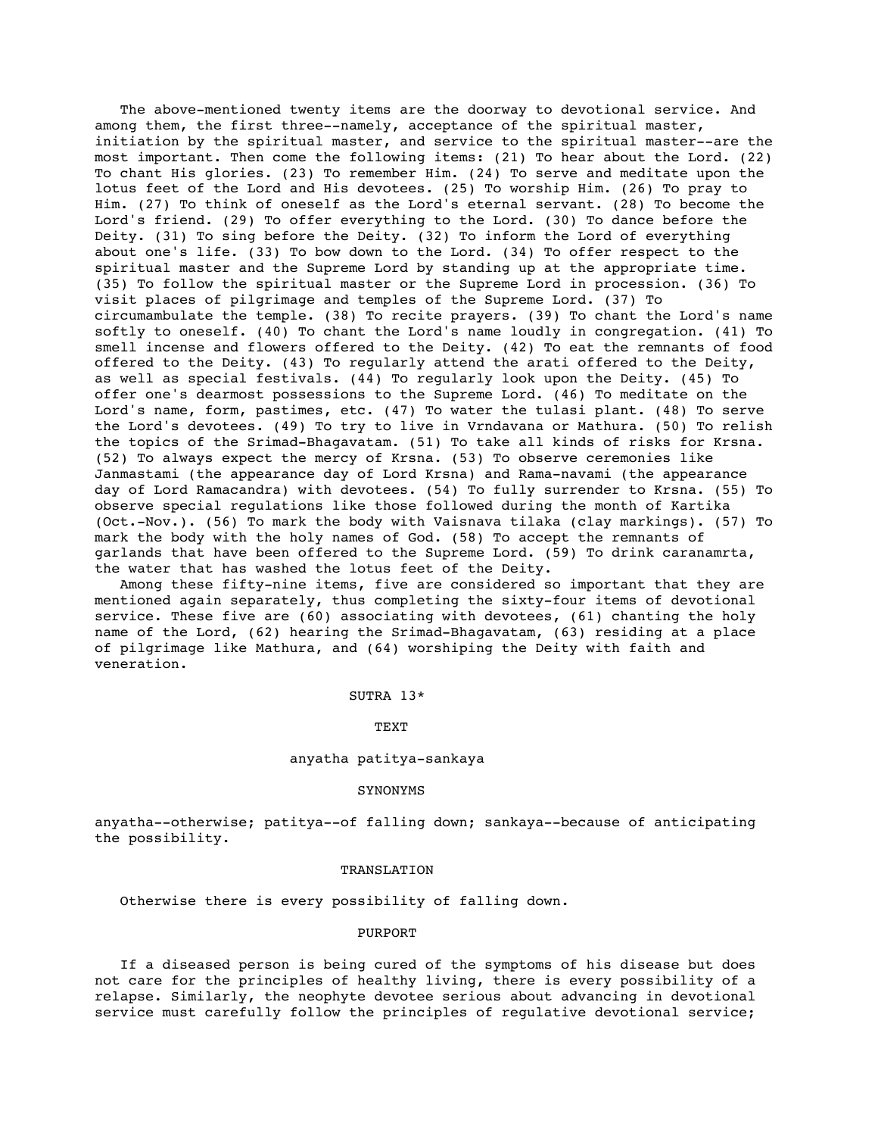The above-mentioned twenty items are the doorway to devotional service. And among them, the first three--namely, acceptance of the spiritual master, initiation by the spiritual master, and service to the spiritual master--are the most important. Then come the following items: (21) To hear about the Lord. (22) To chant His glories. (23) To remember Him. (24) To serve and meditate upon the lotus feet of the Lord and His devotees. (25) To worship Him. (26) To pray to Him. (27) To think of oneself as the Lord's eternal servant. (28) To become the Lord's friend. (29) To offer everything to the Lord. (30) To dance before the Deity. (31) To sing before the Deity. (32) To inform the Lord of everything about one's life. (33) To bow down to the Lord. (34) To offer respect to the spiritual master and the Supreme Lord by standing up at the appropriate time. (35) To follow the spiritual master or the Supreme Lord in procession. (36) To visit places of pilgrimage and temples of the Supreme Lord. (37) To circumambulate the temple. (38) To recite prayers. (39) To chant the Lord's name softly to oneself. (40) To chant the Lord's name loudly in congregation. (41) To smell incense and flowers offered to the Deity. (42) To eat the remnants of food offered to the Deity. (43) To regularly attend the arati offered to the Deity, as well as special festivals. (44) To regularly look upon the Deity. (45) To offer one's dearmost possessions to the Supreme Lord. (46) To meditate on the Lord's name, form, pastimes, etc. (47) To water the tulasi plant. (48) To serve the Lord's devotees. (49) To try to live in Vrndavana or Mathura. (50) To relish the topics of the Srimad-Bhagavatam. (51) To take all kinds of risks for Krsna. (52) To always expect the mercy of Krsna. (53) To observe ceremonies like Janmastami (the appearance day of Lord Krsna) and Rama-navami (the appearance day of Lord Ramacandra) with devotees. (54) To fully surrender to Krsna. (55) To observe special regulations like those followed during the month of Kartika (Oct.-Nov.). (56) To mark the body with Vaisnava tilaka (clay markings). (57) To mark the body with the holy names of God. (58) To accept the remnants of garlands that have been offered to the Supreme Lord. (59) To drink caranamrta, the water that has washed the lotus feet of the Deity.

 Among these fifty-nine items, five are considered so important that they are mentioned again separately, thus completing the sixty-four items of devotional service. These five are (60) associating with devotees, (61) chanting the holy name of the Lord, (62) hearing the Srimad-Bhagavatam, (63) residing at a place of pilgrimage like Mathura, and (64) worshiping the Deity with faith and veneration.

#### SUTRA 13\*

TEXT

# anyatha patitya-sankaya

#### SYNONYMS

anyatha--otherwise; patitya--of falling down; sankaya--because of anticipating the possibility.

### TRANSLATION

Otherwise there is every possibility of falling down.

# PURPORT

 If a diseased person is being cured of the symptoms of his disease but does not care for the principles of healthy living, there is every possibility of a relapse. Similarly, the neophyte devotee serious about advancing in devotional service must carefully follow the principles of regulative devotional service;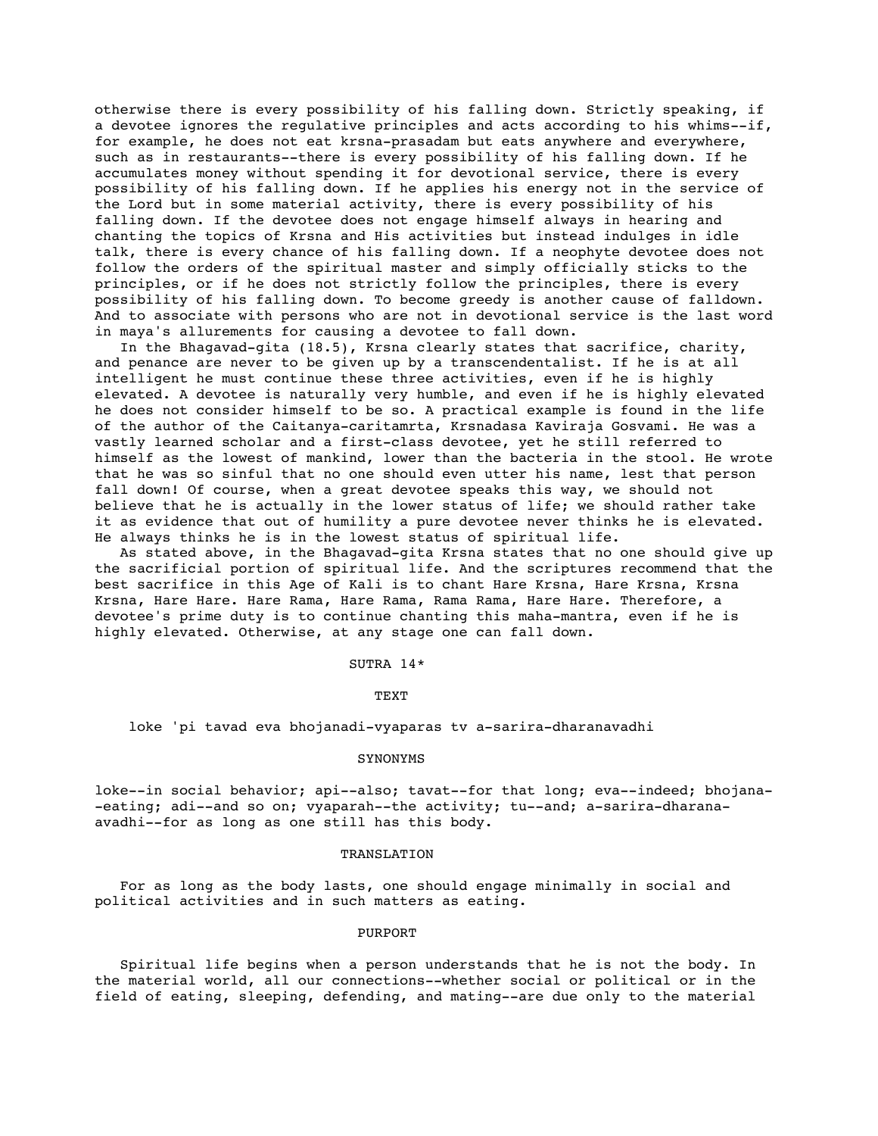otherwise there is every possibility of his falling down. Strictly speaking, if a devotee ignores the regulative principles and acts according to his whims--if, for example, he does not eat krsna-prasadam but eats anywhere and everywhere, such as in restaurants--there is every possibility of his falling down. If he accumulates money without spending it for devotional service, there is every possibility of his falling down. If he applies his energy not in the service of the Lord but in some material activity, there is every possibility of his falling down. If the devotee does not engage himself always in hearing and chanting the topics of Krsna and His activities but instead indulges in idle talk, there is every chance of his falling down. If a neophyte devotee does not follow the orders of the spiritual master and simply officially sticks to the principles, or if he does not strictly follow the principles, there is every possibility of his falling down. To become greedy is another cause of falldown. And to associate with persons who are not in devotional service is the last word in maya's allurements for causing a devotee to fall down.

 In the Bhagavad-gita (18.5), Krsna clearly states that sacrifice, charity, and penance are never to be given up by a transcendentalist. If he is at all intelligent he must continue these three activities, even if he is highly elevated. A devotee is naturally very humble, and even if he is highly elevated he does not consider himself to be so. A practical example is found in the life of the author of the Caitanya-caritamrta, Krsnadasa Kaviraja Gosvami. He was a vastly learned scholar and a first-class devotee, yet he still referred to himself as the lowest of mankind, lower than the bacteria in the stool. He wrote that he was so sinful that no one should even utter his name, lest that person fall down! Of course, when a great devotee speaks this way, we should not believe that he is actually in the lower status of life; we should rather take it as evidence that out of humility a pure devotee never thinks he is elevated. He always thinks he is in the lowest status of spiritual life.

 As stated above, in the Bhagavad-gita Krsna states that no one should give up the sacrificial portion of spiritual life. And the scriptures recommend that the best sacrifice in this Age of Kali is to chant Hare Krsna, Hare Krsna, Krsna Krsna, Hare Hare. Hare Rama, Hare Rama, Rama Rama, Hare Hare. Therefore, a devotee's prime duty is to continue chanting this maha-mantra, even if he is highly elevated. Otherwise, at any stage one can fall down.

# SUTRA 14\*

TEXT

loke 'pi tavad eva bhojanadi-vyaparas tv a-sarira-dharanavadhi

### SYNONYMS

loke--in social behavior; api--also; tavat--for that long; eva--indeed; bhojana- -eating; adi--and so on; vyaparah--the activity; tu--and; a-sarira-dharanaavadhi--for as long as one still has this body.

### TRANSLATION

 For as long as the body lasts, one should engage minimally in social and political activities and in such matters as eating.

## PURPORT

 Spiritual life begins when a person understands that he is not the body. In the material world, all our connections--whether social or political or in the field of eating, sleeping, defending, and mating--are due only to the material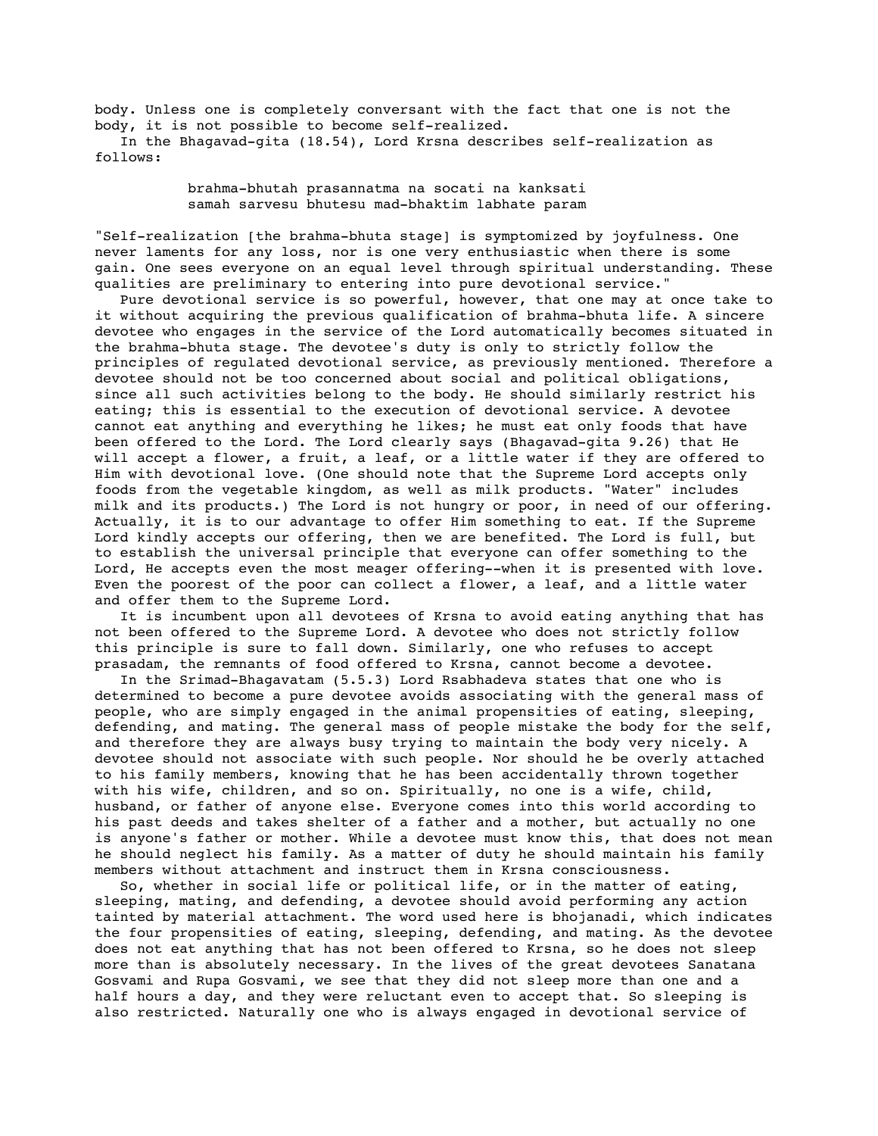body. Unless one is completely conversant with the fact that one is not the body, it is not possible to become self-realized. In the Bhagavad-gita (18.54), Lord Krsna describes self-realization as

> brahma-bhutah prasannatma na socati na kanksati samah sarvesu bhutesu mad-bhaktim labhate param

follows:

"Self-realization [the brahma-bhuta stage] is symptomized by joyfulness. One never laments for any loss, nor is one very enthusiastic when there is some gain. One sees everyone on an equal level through spiritual understanding. These qualities are preliminary to entering into pure devotional service."

 Pure devotional service is so powerful, however, that one may at once take to it without acquiring the previous qualification of brahma-bhuta life. A sincere devotee who engages in the service of the Lord automatically becomes situated in the brahma-bhuta stage. The devotee's duty is only to strictly follow the principles of regulated devotional service, as previously mentioned. Therefore a devotee should not be too concerned about social and political obligations, since all such activities belong to the body. He should similarly restrict his eating; this is essential to the execution of devotional service. A devotee cannot eat anything and everything he likes; he must eat only foods that have been offered to the Lord. The Lord clearly says (Bhagavad-gita 9.26) that He will accept a flower, a fruit, a leaf, or a little water if they are offered to Him with devotional love. (One should note that the Supreme Lord accepts only foods from the vegetable kingdom, as well as milk products. "Water" includes milk and its products.) The Lord is not hungry or poor, in need of our offering. Actually, it is to our advantage to offer Him something to eat. If the Supreme Lord kindly accepts our offering, then we are benefited. The Lord is full, but to establish the universal principle that everyone can offer something to the Lord, He accepts even the most meager offering--when it is presented with love. Even the poorest of the poor can collect a flower, a leaf, and a little water and offer them to the Supreme Lord.

 It is incumbent upon all devotees of Krsna to avoid eating anything that has not been offered to the Supreme Lord. A devotee who does not strictly follow this principle is sure to fall down. Similarly, one who refuses to accept prasadam, the remnants of food offered to Krsna, cannot become a devotee.

 In the Srimad-Bhagavatam (5.5.3) Lord Rsabhadeva states that one who is determined to become a pure devotee avoids associating with the general mass of people, who are simply engaged in the animal propensities of eating, sleeping, defending, and mating. The general mass of people mistake the body for the self, and therefore they are always busy trying to maintain the body very nicely. A devotee should not associate with such people. Nor should he be overly attached to his family members, knowing that he has been accidentally thrown together with his wife, children, and so on. Spiritually, no one is a wife, child, husband, or father of anyone else. Everyone comes into this world according to his past deeds and takes shelter of a father and a mother, but actually no one is anyone's father or mother. While a devotee must know this, that does not mean he should neglect his family. As a matter of duty he should maintain his family members without attachment and instruct them in Krsna consciousness.

 So, whether in social life or political life, or in the matter of eating, sleeping, mating, and defending, a devotee should avoid performing any action tainted by material attachment. The word used here is bhojanadi, which indicates the four propensities of eating, sleeping, defending, and mating. As the devotee does not eat anything that has not been offered to Krsna, so he does not sleep more than is absolutely necessary. In the lives of the great devotees Sanatana Gosvami and Rupa Gosvami, we see that they did not sleep more than one and a half hours a day, and they were reluctant even to accept that. So sleeping is also restricted. Naturally one who is always engaged in devotional service of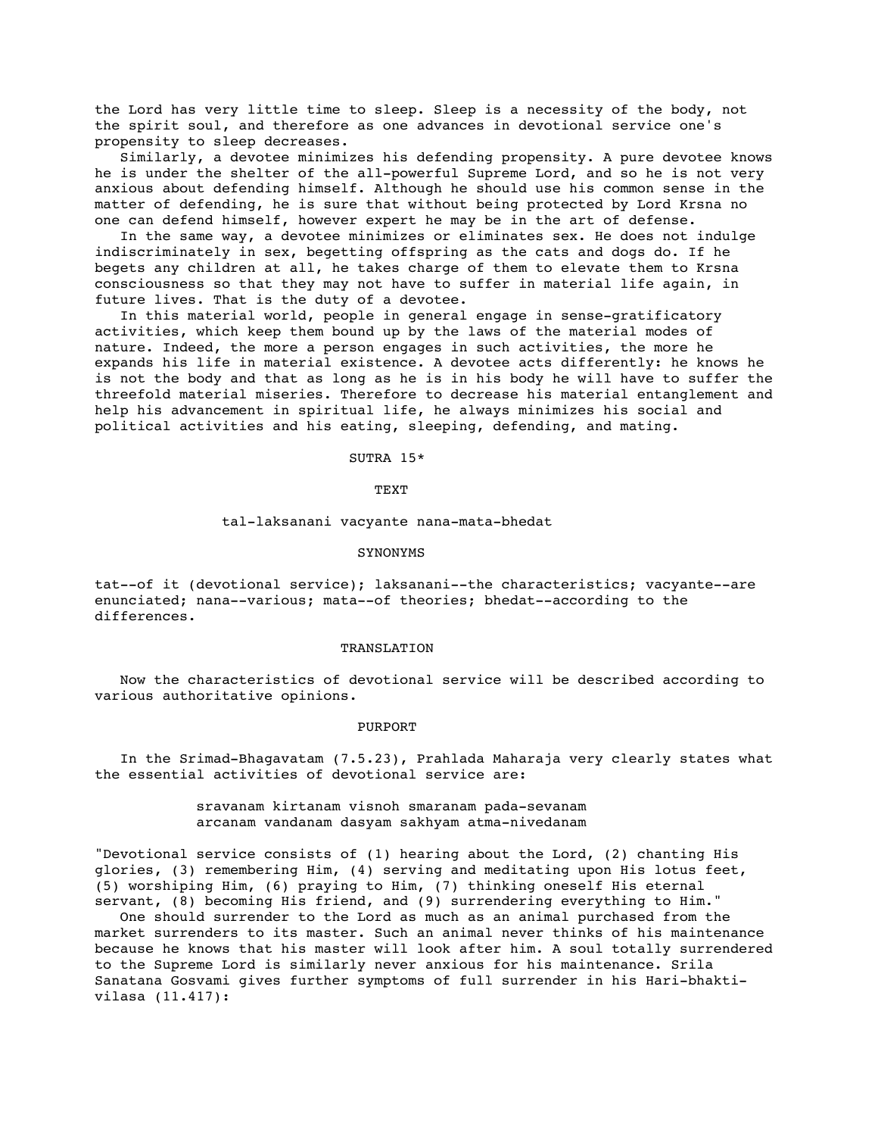the Lord has very little time to sleep. Sleep is a necessity of the body, not the spirit soul, and therefore as one advances in devotional service one's propensity to sleep decreases.

 Similarly, a devotee minimizes his defending propensity. A pure devotee knows he is under the shelter of the all-powerful Supreme Lord, and so he is not very anxious about defending himself. Although he should use his common sense in the matter of defending, he is sure that without being protected by Lord Krsna no one can defend himself, however expert he may be in the art of defense.

 In the same way, a devotee minimizes or eliminates sex. He does not indulge indiscriminately in sex, begetting offspring as the cats and dogs do. If he begets any children at all, he takes charge of them to elevate them to Krsna consciousness so that they may not have to suffer in material life again, in future lives. That is the duty of a devotee.

 In this material world, people in general engage in sense-gratificatory activities, which keep them bound up by the laws of the material modes of nature. Indeed, the more a person engages in such activities, the more he expands his life in material existence. A devotee acts differently: he knows he is not the body and that as long as he is in his body he will have to suffer the threefold material miseries. Therefore to decrease his material entanglement and help his advancement in spiritual life, he always minimizes his social and political activities and his eating, sleeping, defending, and mating.

# SUTRA 15\*

# TEXT

### tal-laksanani vacyante nana-mata-bhedat

#### SYNONYMS

tat--of it (devotional service); laksanani--the characteristics; vacyante--are enunciated; nana--various; mata--of theories; bhedat--according to the differences.

## TRANSLATION

 Now the characteristics of devotional service will be described according to various authoritative opinions.

#### PURPORT

 In the Srimad-Bhagavatam (7.5.23), Prahlada Maharaja very clearly states what the essential activities of devotional service are:

# sravanam kirtanam visnoh smaranam pada-sevanam arcanam vandanam dasyam sakhyam atma-nivedanam

"Devotional service consists of (1) hearing about the Lord, (2) chanting His glories, (3) remembering Him, (4) serving and meditating upon His lotus feet, (5) worshiping Him, (6) praying to Him, (7) thinking oneself His eternal servant, (8) becoming His friend, and (9) surrendering everything to Him."

 One should surrender to the Lord as much as an animal purchased from the market surrenders to its master. Such an animal never thinks of his maintenance because he knows that his master will look after him. A soul totally surrendered to the Supreme Lord is similarly never anxious for his maintenance. Srila Sanatana Gosvami gives further symptoms of full surrender in his Hari-bhaktivilasa (11.417):